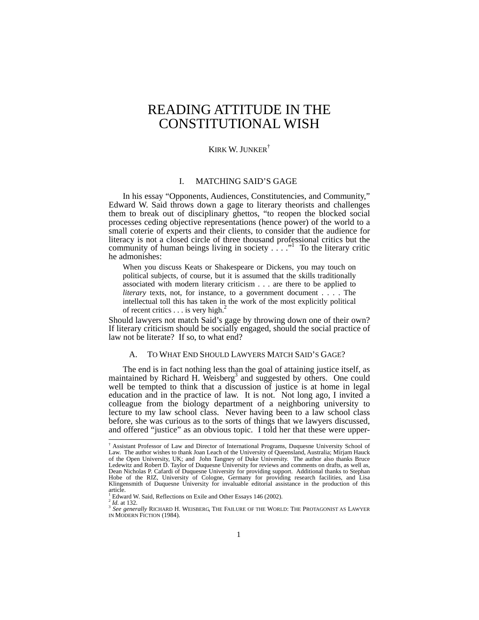# READING ATTITUDE IN THE CONSTITUTIONAL WISH

# KIRK W. JUNKER†

# I. MATCHING SAID'S GAGE

In his essay "Opponents, Audiences, Constitutencies, and Community," Edward W. Said throws down a gage to literary theorists and challenges them to break out of disciplinary ghettos, "to reopen the blocked social processes ceding objective representations (hence power) of the world to a small coterie of experts and their clients, to consider that the audience for literacy is not a closed circle of three thousand professional critics but the community of human beings living in society  $\ldots$  ." To the literary critic he admonishes:

When you discuss Keats or Shakespeare or Dickens, you may touch on political subjects, of course, but it is assumed that the skills traditionally associated with modern literary criticism . . . are there to be applied to *literary* texts, not, for instance, to a government document . . . . The intellectual toll this has taken in the work of the most explicitly political of recent critics  $\dots$  is very high.<sup>2</sup>

Should lawyers not match Said's gage by throwing down one of their own? If literary criticism should be socially engaged, should the social practice of law not be literate? If so, to what end?

# A. TO WHAT END SHOULD LAWYERS MATCH SAID'S GAGE?

The end is in fact nothing less than the goal of attaining justice itself, as maintained by Richard H. Weisberg<sup>3</sup> and suggested by others. One could well be tempted to think that a discussion of justice is at home in legal education and in the practice of law. It is not. Not long ago, I invited a colleague from the biology department of a neighboring university to lecture to my law school class. Never having been to a law school class before, she was curious as to the sorts of things that we lawyers discussed, and offered "justice" as an obvious topic. I told her that these were upper-

 <sup>†</sup> Assistant Professor of Law and Director of International Programs, Duquesne University School of Law. The author wishes to thank Joan Leach of the University of Queensland, Australia; Mirjam Hauck of the Open University, UK; and John Tangney of Duke University. The author also thanks Bruce Ledewitz and Robert D. Taylor of Duquesne University for reviews and comments on drafts, as well as, Dean Nicholas P. Cafardi of Duquesne University for providing support. Additional thanks to Stephan Hobe of the RIZ, University of Cologne, Germany for providing research facilities, and Lisa Klingensmith of Duquesne University for invaluable editorial assistance in the production of this article.<br><sup>1</sup> Edwar

Edward W. Said, Reflections on Exile and Other Essays 146 (2002).<br><sup>2</sup> *Id.* at 132. 3 *See generally RICHARD H. WEISBERG, THE FAILURE OF THE WORLD: THE PROTAGONIST AS LAWYER* IN MODERN FICTION (1984).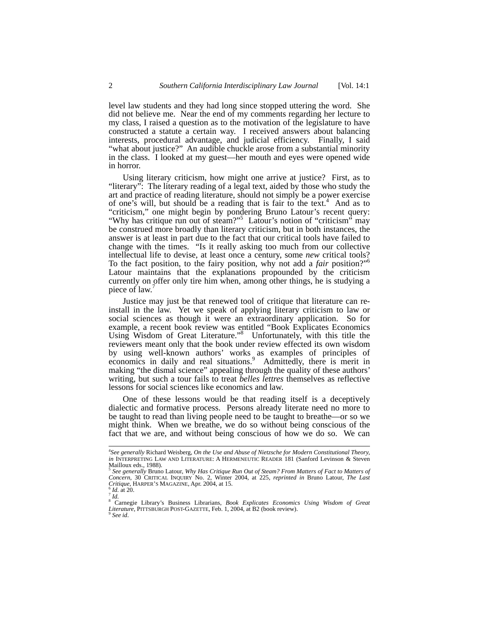level law students and they had long since stopped uttering the word. She did not believe me. Near the end of my comments regarding her lecture to my class, I raised a question as to the motivation of the legislature to have constructed a statute a certain way. I received answers about balancing interests, procedural advantage, and judicial efficiency. Finally, I said "what about justice?" An audible chuckle arose from a substantial minority in the class. I looked at my guest—her mouth and eyes were opened wide in horror.

Using literary criticism, how might one arrive at justice? First, as to "literary": The literary reading of a legal text, aided by those who study the art and practice of reading literature, should not simply be a power exercise of one's will, but should be a reading that is fair to the text.<sup>4</sup> And as to "criticism," one might begin by pondering Bruno Latour's recent query: "Why has critique run out of steam?"<sup>5</sup> Latour's notion of "criticism" may be construed more broadly than literary criticism, but in both instances, the answer is at least in part due to the fact that our critical tools have failed to change with the times. "Is it really asking too much from our collective intellectual life to devise, at least once a century, some *new* critical tools? To the fact position, to the fairy position, why not add a *fair* position?"6 Latour maintains that the explanations propounded by the criticism currently on offer only tire him when, among other things, he is studying a piece of law.<sup>7</sup>

Justice may just be that renewed tool of critique that literature can reinstall in the law. Yet we speak of applying literary criticism to law or social sciences as though it were an extraordinary application. So for example, a recent book review was entitled "Book Explicates Economics Using Wisdom of Great Literature."<sup>8</sup> Unfortunately, with this title the reviewers meant only that the book under review effected its own wisdom by using well-known authors' works as examples of principles of economics in daily and real situations.<sup>9</sup> Admittedly, there is merit in making "the dismal science" appealing through the quality of these authors' writing, but such a tour fails to treat *belles lettres* themselves as reflective lessons for social sciences like economics and law.

One of these lessons would be that reading itself is a deceptively dialectic and formative process. Persons already literate need no more to be taught to read than living people need to be taught to breathe—or so we might think. When we breathe, we do so without being conscious of the fact that we are, and without being conscious of how we do so. We can

 <sup>4</sup> *See generally* Richard Weisberg, *On the Use and Abuse of Nietzsche for Modern Constitutional Theory, in* INTERPRETING LAW AND LITERATURE: A HERMENEUTIC READER 181 (Sanford Levinson & Steven Mailloux eds., 1988).

<sup>5</sup> *See generally* Bruno Latour, *Why Has Critique Run Out of Steam? From Matters of Fact to Matters of Concern*, 30 CRITICAL INQUIRY No. 2, Winter 2004, at 225, *reprinted in* Bruno Latour, *The Last Critique*, HARPER'S MAGAZINE, Apr. 2004, at 15. <sup>6</sup> *Id.* at 20.

<sup>&</sup>lt;sup>8</sup> Carnegie Library's Business Librarians, *Book Explicates Economics Using Wisdom of Great Literature*, PITTSBURGH POST-GAZETTE, Feb. 1, 2004, at B2 (book review). <sup>9</sup> *See id.*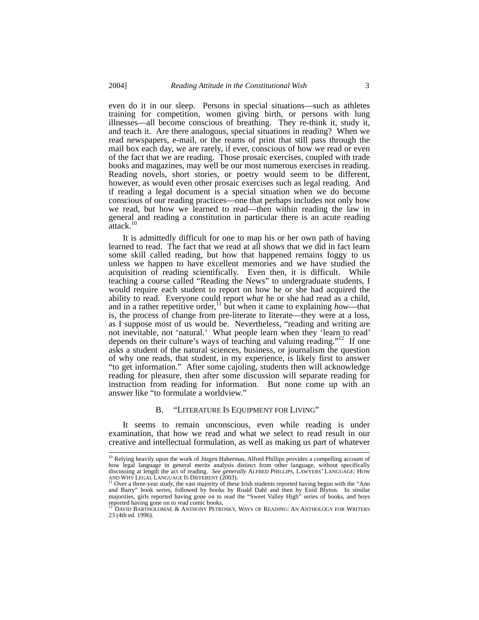even do it in our sleep. Persons in special situations—such as athletes training for competition, women giving birth, or persons with lung illnesses—all become conscious of breathing. They re-think it, study it, and teach it. Are there analogous, special situations in reading? When we read newspapers, e-mail, or the reams of print that still pass through the mail box each day, we are rarely, if ever, conscious of how we read or even of the fact that we are reading. Those prosaic exercises, coupled with trade books and magazines, may well be our most numerous exercises in reading. Reading novels, short stories, or poetry would seem to be different, however, as would even other prosaic exercises such as legal reading. And if reading a legal document is a special situation when we do become conscious of our reading practices—one that perhaps includes not only how we read, but how we learned to read—then within reading the law in general and reading a constitution in particular there is an acute reading attack.<sup>10</sup>

It is admittedly difficult for one to map his or her own path of having learned to read. The fact that we read at all shows that we did in fact learn some skill called reading, but how that happened remains foggy to us unless we happen to have excellent memories and we have studied the acquisition of reading scientifically. Even then, it is difficult. While teaching a course called "Reading the News" to undergraduate students, I would require each student to report on how he or she had acquired the ability to read. Everyone could report *what* he or she had read as a child, and in a rather repetitive order,<sup>11</sup> but when it came to explaining *how*—that is, the process of change from pre-literate to literate—they were at a loss, as I suppose most of us would be. Nevertheless, "reading and writing are not inevitable, not 'natural.' What people learn when they 'learn to read' depends on their culture's ways of teaching and valuing reading."<sup>12</sup> If one asks a student of the natural sciences, business, or journalism the question of why one reads, that student, in my experience, is likely first to answer "to get information." After some cajoling, students then will acknowledge reading for pleasure, then after some discussion will separate reading for instruction from reading for information. But none come up with an answer like "to formulate a worldview."

#### B. "LITERATURE IS EQUIPMENT FOR LIVING"

It seems to remain unconscious, even while reading is under examination, that how we read and what we select to read result in our creative and intellectual formulation, as well as making us part of whatever

<sup>&</sup>lt;sup>10</sup> Relying heavily upon the work of Jürgen Habermas, Alfred Phillips provides a compelling account of how legal language in general merits analysis distinct from other language, without specifically discussing at length the act of reading. *See generally* ALFRED PHILLIPS, LAWYERS' LANGUAGE: HOW

AND WHY LEGAL LANGUAGE IS DIFFERENT (2003).<br><sup>11</sup> Over a three-year study, the vast majority of these Irish students reported having begun with the "Ann and Barry" book series, followed by books by Roald Dahl and then by En majorities, girls reported having gone on to read the "Sweet Valley High" series of books, and boys reported having gone on to read comic books.

<sup>12</sup> DAVID BARTHOLOMAE & ANTHONY PETROSKY, WAYS OF READING: AN ANTHOLOGY FOR WRITERS 23 (4th ed. 1996).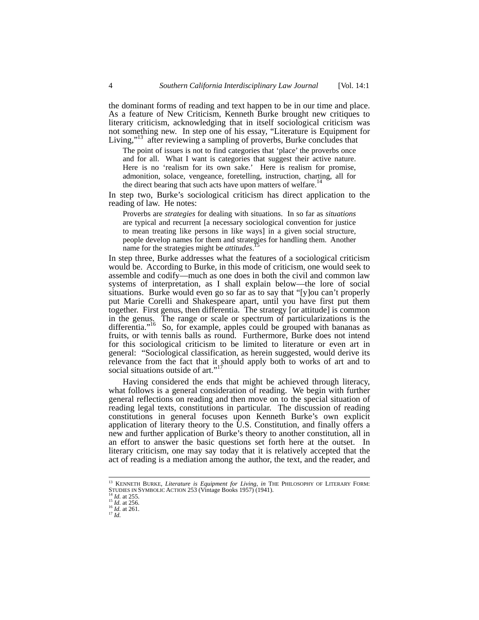the dominant forms of reading and text happen to be in our time and place. As a feature of New Criticism, Kenneth Burke brought new critiques to literary criticism, acknowledging that in itself sociological criticism was not something new. In step one of his essay, "Literature is Equipment for Living,"<sup>13</sup> after reviewing a sampling of proverbs, Burke concludes that

The point of issues is not to find categories that 'place' the proverbs once and for all. What I want is categories that suggest their active nature. Here is no 'realism for its own sake.' Here is realism for promise, admonition, solace, vengeance, foretelling, instruction, charting, all for the direct bearing that such acts have upon matters of welfare.<sup>14</sup>

In step two, Burke's sociological criticism has direct application to the reading of law. He notes:

Proverbs are *strategies* for dealing with situations. In so far as *situations* are typical and recurrent [a necessary sociological convention for justice to mean treating like persons in like ways] in a given social structure, people develop names for them and strategies for handling them. Another name for the strategies might be *attitudes*.

In step three, Burke addresses what the features of a sociological criticism would be. According to Burke, in this mode of criticism, one would seek to assemble and codify—much as one does in both the civil and common law systems of interpretation, as I shall explain below—the lore of social situations. Burke would even go so far as to say that "[y]ou can't properly put Marie Corelli and Shakespeare apart, until you have first put them together. First genus, then differentia. The strategy [or attitude] is common in the genus. The range or scale or spectrum of particularizations is the differentia."<sup>16</sup> So, for example, apples could be grouped with bananas as fruits, or with tennis balls as round. Furthermore, Burke does not intend for this sociological criticism to be limited to literature or even art in general: "Sociological classification, as herein suggested, would derive its relevance from the fact that it should apply both to works of art and to social situations outside of art."<sup>17</sup>

Having considered the ends that might be achieved through literacy, what follows is a general consideration of reading. We begin with further general reflections on reading and then move on to the special situation of reading legal texts, constitutions in particular. The discussion of reading constitutions in general focuses upon Kenneth Burke's own explicit application of literary theory to the U.S. Constitution, and finally offers a new and further application of Burke's theory to another constitution, all in an effort to answer the basic questions set forth here at the outset. In literary criticism, one may say today that it is relatively accepted that the act of reading is a mediation among the author, the text, and the reader, and

 <sup>13</sup> KENNETH BURKE, *Literature is Equipment for Living*, *in* THE PHILOSOPHY OF LITERARY FORM: STUDIES IN SYMBOLIC ACTION 253 (Vintage Books 1957) (1941).<br><sup>14</sup> *Id.* at 255.<br><sup>15</sup> *Id.* at 256.<br><sup>16</sup> *Id.* at 261.<br><sup>17</sup> *Id.*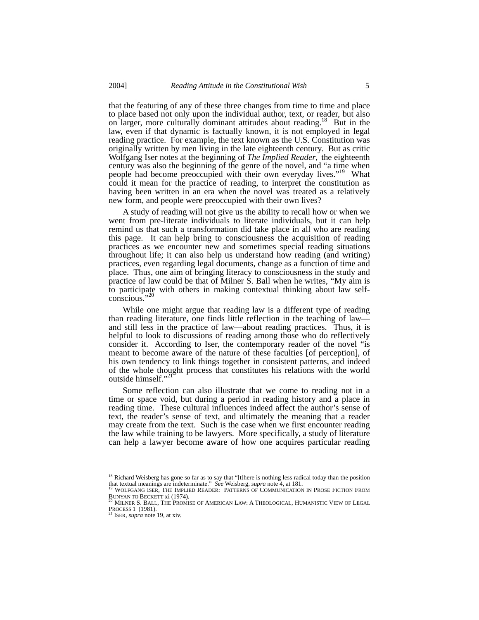that the featuring of any of these three changes from time to time and place to place based not only upon the individual author, text, or reader, but also on larger, more culturally dominant attitudes about reading.<sup>18</sup> But in the law, even if that dynamic is factually known, it is not employed in legal reading practice. For example, the text known as the U.S. Constitution was originally written by men living in the late eighteenth century. But as critic Wolfgang Iser notes at the beginning of *The Implied Reader*, the eighteenth century was also the beginning of the genre of the novel, and "a time when people had become preoccupied with their own everyday lives."<sup>19</sup> What could it mean for the practice of reading, to interpret the constitution as having been written in an era when the novel was treated as a relatively new form, and people were preoccupied with their own lives?

A study of reading will not give us the ability to recall how or when we went from pre-literate individuals to literate individuals, but it can help remind us that such a transformation did take place in all who are reading this page. It can help bring to consciousness the acquisition of reading practices as we encounter new and sometimes special reading situations throughout life; it can also help us understand how reading (and writing) practices, even regarding legal documents, change as a function of time and place. Thus, one aim of bringing literacy to consciousness in the study and practice of law could be that of Milner S. Ball when he writes, "My aim is to participate with others in making contextual thinking about law selfconscious."<sup>20</sup>

While one might argue that reading law is a different type of reading than reading literature, one finds little reflection in the teaching of law and still less in the practice of law—about reading practices. Thus, it is helpful to look to discussions of reading among those who do reflectively consider it. According to Iser, the contemporary reader of the novel "is meant to become aware of the nature of these faculties [of perception], of his own tendency to link things together in consistent patterns, and indeed of the whole thought process that constitutes his relations with the world outside himself."<sup>21</sup>

Some reflection can also illustrate that we come to reading not in a time or space void, but during a period in reading history and a place in reading time. These cultural influences indeed affect the author's sense of text, the reader's sense of text, and ultimately the meaning that a reader may create from the text. Such is the case when we first encounter reading the law while training to be lawyers. More specifically, a study of literature can help a lawyer become aware of how one acquires particular reading

<sup>&</sup>lt;sup>18</sup> Richard Weisberg has gone so far as to say that "[t]here is nothing less radical today than the position

that textual meanings are indeterminate." *See* Weisberg, *supra* note 4, at 181.<br><sup>19</sup> WOLFGANG ISER, THE IMPLIED READER: PATTERNS OF COMMUNICATION IN PROSE FICTION FROM<br>BUNYAN TO BECKETT Xi (1974).

 $\beta$  Milner S. Ball, The Promise of American Law: A Theological, Humanistic View of Legal **PROCESS 1** (1981).<br><sup>21</sup> ISER, *supra* note 19, at xiv.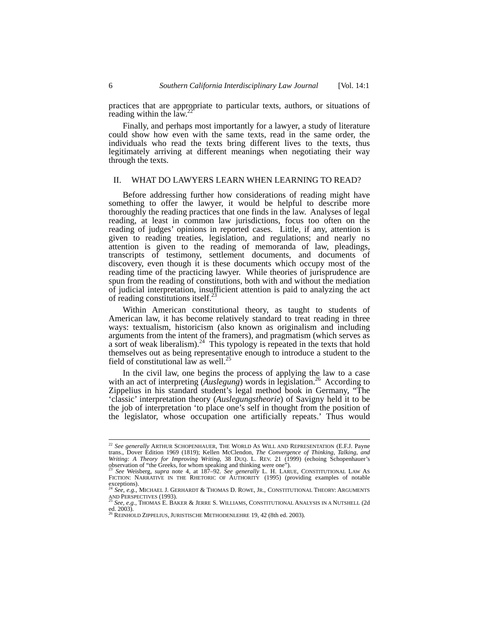practices that are appropriate to particular texts, authors, or situations of reading within the law.<sup>2</sup>

Finally, and perhaps most importantly for a lawyer, a study of literature could show how even with the same texts, read in the same order, the individuals who read the texts bring different lives to the texts, thus legitimately arriving at different meanings when negotiating their way through the texts.

# II. WHAT DO LAWYERS LEARN WHEN LEARNING TO READ?

Before addressing further how considerations of reading might have something to offer the lawyer, it would be helpful to describe more thoroughly the reading practices that one finds in the law. Analyses of legal reading, at least in common law jurisdictions, focus too often on the reading of judges' opinions in reported cases. Little, if any, attention is given to reading treaties, legislation, and regulations; and nearly no attention is given to the reading of memoranda of law, pleadings, transcripts of testimony, settlement documents, and documents of discovery, even though it is these documents which occupy most of the reading time of the practicing lawyer. While theories of jurisprudence are spun from the reading of constitutions, both with and without the mediation of judicial interpretation, insufficient attention is paid to analyzing the act of reading constitutions itself.<sup>23</sup>

Within American constitutional theory, as taught to students of American law, it has become relatively standard to treat reading in three ways: textualism, historicism (also known as originalism and including arguments from the intent of the framers), and pragmatism (which serves as a sort of weak liberalism). $^{24}$  This typology is repeated in the texts that hold themselves out as being representative enough to introduce a student to the field of constitutional law as well.<sup>2</sup>

In the civil law, one begins the process of applying the law to a case with an act of interpreting (*Auslegung*) words in legislation.<sup>26</sup> According to Zippelius in his standard student's legal method book in Germany, "The 'classic' interpretation theory (*Auslegungstheorie*) of Savigny held it to be the job of interpretation 'to place one's self in thought from the position of the legislator, whose occupation one artificially repeats.' Thus would

<sup>&</sup>lt;sup>22</sup> See generally ARTHUR SCHOPENHAUER, THE WORLD AS WILL AND REPRESENTATION (E.F.J. Payne trans., Dover Edition 1969 (1819); Kellen McClendon, *The Convergence of Thinking, Talking, and Writing: A Theory for Improving Writing*, 38 DUQ. L. REV. 21 (1999) (echoing Schopenhauer's observation of "the Greeks, for whom speaking and thinking were one"). <sup>23</sup> *See* Weisberg, *supra* note 4, at 187–92. *See generally* L. H. LARUE, CONSTITUTIONAL LAW AS

FICTION: NARRATIVE IN THE RHETORIC OF AUTHORITY (1995) (providing examples of notable exceptions).<br><sup>24</sup> *See, e.g.*, MICHAEL J. GERHARDT & THOMAS D. ROWE, JR., CONSTITUTIONAL THEORY: ARGUMENTS

AND PERSPECTIVES (1993). 25 *See, e.g.*, THOMAS E. BAKER & JERRE S. WILLIAMS, CONSTITUTIONAL ANALYSIS IN A NUTSHELL (2d

ed. 2003).<br><sup>26</sup> Reinhold Zippelius, Juristische Methodenlehre 19, 42 (8th ed. 2003).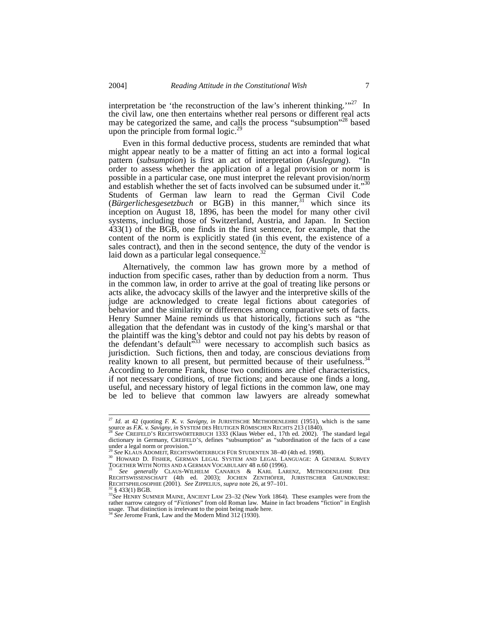interpretation be 'the reconstruction of the law's inherent thinking.'"<sup>27</sup> In the civil law, one then entertains whether real persons or different real acts may be categorized the same, and calls the process "subsumption"<sup>28</sup> based upon the principle from formal logic.<sup>29</sup>

Even in this formal deductive process, students are reminded that what might appear neatly to be a matter of fitting an act into a formal logical pattern (*subsumption*) is first an act of interpretation (*Auslegung*). "In order to assess whether the application of a legal provision or norm is possible in a particular case, one must interpret the relevant provision/norm and establish whether the set of facts involved can be subsumed under it."<sup>30</sup> Students of German law learn to read the German Civil Code (*Bürgerlichesgesetzbuch* or BGB) in this manner,<sup>31</sup> which since its inception on August 18, 1896, has been the model for many other civil systems, including those of Switzerland, Austria, and Japan. In Section 433(1) of the BGB, one finds in the first sentence, for example, that the content of the norm is explicitly stated (in this event, the existence of a sales contract), and then in the second sentence, the duty of the vendor is laid down as a particular legal consequence. $32$ 

Alternatively, the common law has grown more by a method of induction from specific cases, rather than by deduction from a norm. Thus in the common law, in order to arrive at the goal of treating like persons or acts alike, the advocacy skills of the lawyer and the interpretive skills of the judge are acknowledged to create legal fictions about categories of behavior and the similarity or differences among comparative sets of facts. Henry Sumner Maine reminds us that historically, fictions such as "the allegation that the defendant was in custody of the king's marshal or that the plaintiff was the king's debtor and could not pay his debts by reason of the defendant's default  $533$  were necessary to accomplish such basics as jurisdiction. Such fictions, then and today, are conscious deviations from reality known to all present, but permitted because of their usefulness.<sup>34</sup> According to Jerome Frank, those two conditions are chief characteristics, if not necessary conditions, of true fictions; and because one finds a long, useful, and necessary history of legal fictions in the common law, one may be led to believe that common law lawyers are already somewhat

<sup>&</sup>lt;sup>27</sup> *Id.* at 42 (quoting *F. K. v. Savigny, in* JURISTISCHE METHODENLEHRE (1951), which is the same source as *F.K. v. Savigny, in* SYSTEM DES HEUTIGEN RÖMISCHEN RECHTS 213 (1840).<br><sup>28</sup> *See* CREIFELD'S RECHTSWÖRTERBUCH 1333 (Klaus Weber ed., 17th ed. 2002). The standard legal

dictionary in Germany, CREIFELD'S, defines "subsumption" as "subordination of the facts of a case under a legal norm or provision."

UNGET AT EGAL MOTH OF PHOVISION.<br><sup>29</sup> See KLAUS ADOMEIT, RECHTSWÖRTERBUCH FÜR STUDENTEN 38–40 (4th ed. 1998).<br><sup>30</sup> HOWARD D. FISHER, GERMAN LEGAL SYSTEM AND LEGAL LANGUAGE: A GENERAL SURVEY<br><u>T</u>OGETHER WITH NOTES AND A GERM

TOGETHER WITH NOTES AND A GERMAN VOCABULARY 48 KARL LARENZ, METHODENLEHRE DER<br>RECHTSWISSENSCHAFT (4th ed. 2003); JOCHEN ZENTHÖFER, JURISTISCHER GRUNDKURSE: RECHTSPHILOSOPHIE (2001). See ZIPPELIUS, *supra* note 26, at 97-101.<br><sup>32</sup> § 433(1) BGB.<br><sup>33</sup>See HENRY SUMNER MAINE, ANCIENT LAW 23-32 (New York 1864). These examples were from the

rather narrow category of "*Fictiones*" from old Roman law. Maine in fact broadens "fiction" in English usage. That distinction is irrelevant to the point being made here. 34 *See* Jerome Frank, Law and the Modern Mind 312 (1930).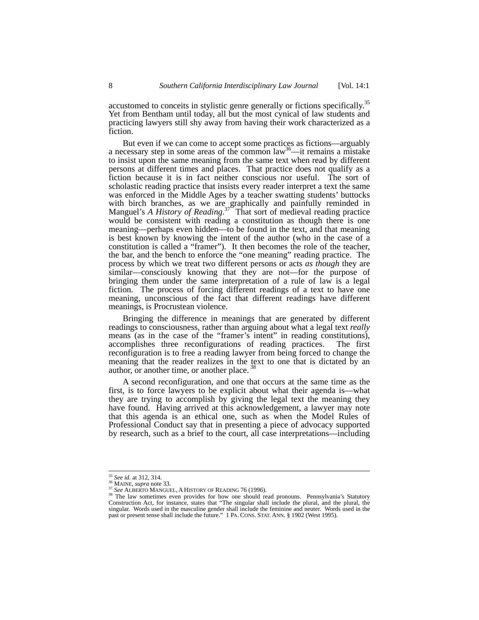accustomed to conceits in stylistic genre generally or fictions specifically.35 Yet from Bentham until today, all but the most cynical of law students and practicing lawyers still shy away from having their work characterized as a fiction.

But even if we can come to accept some practices as fictions—arguably a necessary step in some areas of the common law<sup>36</sup>—it remains a mistake to insist upon the same meaning from the same text when read by different persons at different times and places. That practice does not qualify as a fiction because it is in fact neither conscious nor useful. The sort of scholastic reading practice that insists every reader interpret a text the same was enforced in the Middle Ages by a teacher swatting students' buttocks with birch branches, as we are graphically and painfully reminded in Manguel's *A History of Reading*.<sup>37</sup> That sort of medieval reading practice would be consistent with reading a constitution as though there is one meaning—perhaps even hidden—to be found in the text, and that meaning is best known by knowing the intent of the author (who in the case of a constitution is called a "framer"). It then becomes the role of the teacher, the bar, and the bench to enforce the "one meaning" reading practice. The process by which we treat two different persons or acts *as though* they are similar—consciously knowing that they are not—for the purpose of bringing them under the same interpretation of a rule of law is a legal fiction. The process of forcing different readings of a text to have one meaning, unconscious of the fact that different readings have different meanings, is Procrustean violence.

Bringing the difference in meanings that are generated by different readings to consciousness, rather than arguing about what a legal text *really*  means (as in the case of the "framer's intent" in reading constitutions), accomplishes three reconfigurations of reading practices. The first reconfiguration is to free a reading lawyer from being forced to change the meaning that the reader realizes in the text to one that is dictated by an author, or another time, or another place.<sup>3</sup>

A second reconfiguration, and one that occurs at the same time as the first, is to force lawyers to be explicit about what their agenda is—what they are trying to accomplish by giving the legal text the meaning they have found. Having arrived at this acknowledgement, a lawyer may note that this agenda is an ethical one, such as when the Model Rules of Professional Conduct say that in presenting a piece of advocacy supported by research, such as a brief to the court, all case interpretations—including

<sup>&</sup>lt;sup>35</sup> *See id.* at 312, 314.<br><sup>36</sup> MAINE, *supra* note 33.<br><sup>37</sup> *See* ALBERTO MANGUEL, A HISTORY OF READING 76 (1996).<br><sup>38</sup> The law sometimes even provides for how one should read pronouns. Pennsylvania's Statutory Construction Act, for instance, states that "The singular shall include the plural, and the plural, the singular. Words used in the masculine gender shall include the feminine and neuter. Words used in the past or present tense shall include the future." 1 PA. CONS. STAT. ANN. § 1902 (West 1995).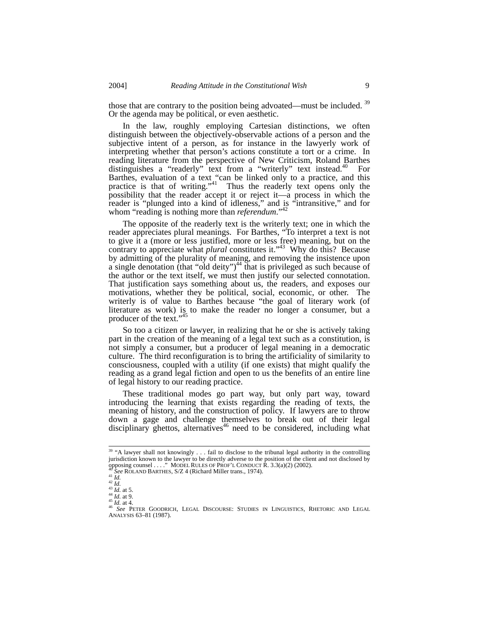those that are contrary to the position being advoated—must be included. <sup>39</sup> Or the agenda may be political, or even aesthetic.

In the law, roughly employing Cartesian distinctions, we often distinguish between the objectively-observable actions of a person and the subjective intent of a person, as for instance in the lawyerly work of interpreting whether that person's actions constitute a tort or a crime. In reading literature from the perspective of New Criticism, Roland Barthes distinguishes a "readerly" text from a "writerly" text instead.<sup>40</sup> For Barthes, evaluation of a text "can be linked only to a practice, and this practice is that of writing."<sup>41</sup> Thus the readerly text opens only the possibility that the reader accept it or reject it—a process in which the reader is "plunged into a kind of idleness," and is "intransitive," and for whom "reading is nothing more than *referendum*."<sup>4</sup>

The opposite of the readerly text is the writerly text; one in which the reader appreciates plural meanings. For Barthes, "To interpret a text is not to give it a (more or less justified, more or less free) meaning, but on the contrary to appreciate what *plural* constitutes it."43 Why do this? Because by admitting of the plurality of meaning, and removing the insistence upon a single denotation (that "old deity")<sup>44</sup> that is privileged as such because of the author or the text itself, we must then justify our selected connotation. That justification says something about us, the readers, and exposes our motivations, whether they be political, social, economic, or other. The writerly is of value to Barthes because "the goal of literary work (of literature as work) is to make the reader no longer a consumer, but a producer of the text."<sup>45</sup>

So too a citizen or lawyer, in realizing that he or she is actively taking part in the creation of the meaning of a legal text such as a constitution, is not simply a consumer, but a producer of legal meaning in a democratic culture. The third reconfiguration is to bring the artificiality of similarity to consciousness, coupled with a utility (if one exists) that might qualify the reading as a grand legal fiction and open to us the benefits of an entire line of legal history to our reading practice.

These traditional modes go part way, but only part way, toward introducing the learning that exists regarding the reading of texts, the meaning of history, and the construction of policy. If lawyers are to throw down a gage and challenge themselves to break out of their legal disciplinary ghettos, alternatives<sup>46</sup> need to be considered, including what

<sup>&</sup>lt;sup>39</sup> "A lawyer shall not knowingly . . . fail to disclose to the tribunal legal authority in the controlling jurisdiction known to the lawyer to be directly adverse to the position of the client and not disclosed by opposing counsel ...." MODEL RULES OF PROF'L CONDUCT R. 3.3(a)(2) (2002).

<sup>&</sup>lt;sup>40</sup> See ROLAND BARTHES, S/Z 4 (Richard Miller trans., 1974).<br>
<sup>41</sup> Id.<br>
<sup>43</sup> Id. at 5.<br>
<sup>44</sup> Id. at 9.<br>
<sup>44</sup> Id. at 9.<br>
<sup>45</sup> Id. at 4.<br>
<sup>45</sup> Id. at 4.<br>
<sup>45</sup> Id. at 4.<br>
<sup>45</sup> Id. at 4.<br>
<sup>46</sup> See PETER GOODRICH, LEGAL DISCO ANALYSIS 63–81 (1987).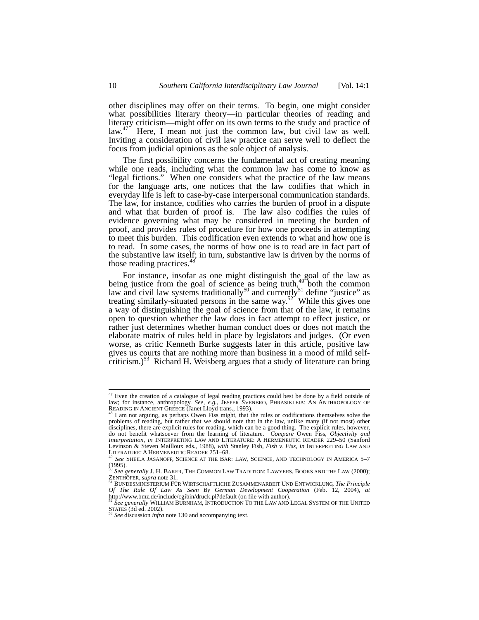other disciplines may offer on their terms. To begin, one might consider what possibilities literary theory—in particular theories of reading and literary criticism—might offer on its own terms to the study and practice of  $law<sup>47</sup>$  Here, I mean not just the common law, but civil law as well. Inviting a consideration of civil law practice can serve well to deflect the focus from judicial opinions as the sole object of analysis.

The first possibility concerns the fundamental act of creating meaning while one reads, including what the common law has come to know as "legal fictions." When one considers what the practice of the law means for the language arts, one notices that the law codifies that which in everyday life is left to case-by-case interpersonal communication standards. The law, for instance, codifies who carries the burden of proof in a dispute and what that burden of proof is. The law also codifies the rules of evidence governing what may be considered in meeting the burden of proof, and provides rules of procedure for how one proceeds in attempting to meet this burden. This codification even extends to what and how one is to read. In some cases, the norms of how one is to read are in fact part of the substantive law itself; in turn, substantive law is driven by the norms of those reading practices.<sup>48</sup>

For instance, insofar as one might distinguish the goal of the law as being justice from the goal of science as being truth, $^{49}$  both the common law and civil law systems traditionally<sup>50</sup> and currently<sup>51</sup> define "justice" as treating similarly-situated persons in the same way.<sup>52</sup> While this gives one a way of distinguishing the goal of science from that of the law, it remains open to question whether the law does in fact attempt to effect justice, or rather just determines whether human conduct does or does not match the elaborate matrix of rules held in place by legislators and judges. (Or even worse, as critic Kenneth Burke suggests later in this article, positive law gives us courts that are nothing more than business in a mood of mild selfcriticism.) $53$  Richard H. Weisberg argues that a study of literature can bring

<sup>&</sup>lt;sup>47</sup> Even the creation of a catalogue of legal reading practices could best be done by a field outside of law; for instance, anthropology. *See, e.g.*, JESPER SVENBRO, PHRASIKLEIA: AN ANTHROPOLOGY OF READING IN ANCIENT GREECE (Janet Lloyd trans., 1993).<br><sup>48</sup> I am not arguing, as perhaps Owen Fiss might, that the rules or codifications themselves solve the<br><sup>48</sup> I am not arguing, as perhaps Owen Fiss might, that the rule

problems of reading, but rather that we should note that in the law, unlike many (if not most) other disciplines, there are explicit rules for reading, which can be a good thing. The explicit rules, however, do not benefit whatsoever from the learning of literature. *Compare* Owen Fiss, *Objectivity and Interpretation*, *in* INTERPRETING LAW AND LITERATURE: A HERMENEUTIC READER 229–50 (Sanford Levinson & Steven Mailloux eds., 1988), *with* Stanley Fish, *Fish v. Fiss, in* INTERPRETING LAW AND<br>LITERATURE: A HERMENE VICTNER AT THE BALLAW SCIENCE AND TECHNOLOGY IN AMERICA 5.7

See SHEILA JASANOFF, SCIENCE AT THE BAR: LAW, SCIENCE, AND TECHNOLOGY IN AMERICA 5-7

<sup>(1995).</sup>  <sup>50</sup> *See generally* J. H. BAKER, THE COMMON LAW TRADITION: LAWYERS, BOOKS AND THE LAW (2000); ZENTHÖFER, *supra* note 31. 51 BUNDESMINISTERIUM FÜR WIRTSCHAFTLICHE ZUSAMMENARBEIT UND ENTWICKLUNG, *The Principle* 

*Of The Rule Of Law As Seen By German Development Cooperation* (Feb. 12, 2004), *at*  http://www.bmz.de/include/cgibin/druck.pl?default (on file with author). <sup>52</sup> *See generally* WILLIAM BURNHAM, INTRODUCTION TO THE LAW AND LEGAL SYSTEM OF THE UNITED

STATES (3d ed. 2002).<br><sup>53</sup> *See* discussion *infra* note 130 and accompanying text.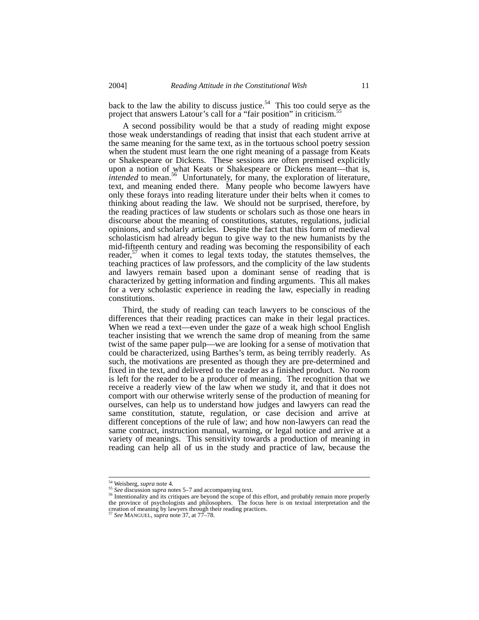back to the law the ability to discuss justice.<sup>54</sup> This too could serve as the project that answers Latour's call for a "fair position" in criticism.<sup>5</sup>

A second possibility would be that a study of reading might expose those weak understandings of reading that insist that each student arrive at the same meaning for the same text, as in the tortuous school poetry session when the student must learn the one right meaning of a passage from Keats or Shakespeare or Dickens. These sessions are often premised explicitly upon a notion of what Keats or Shakespeare or Dickens meant—that is, *intended* to mean.<sup>56</sup> Unfortunately, for many, the exploration of literature, text, and meaning ended there. Many people who become lawyers have only these forays into reading literature under their belts when it comes to thinking about reading the law. We should not be surprised, therefore, by the reading practices of law students or scholars such as those one hears in discourse about the meaning of constitutions, statutes, regulations, judicial opinions, and scholarly articles. Despite the fact that this form of medieval scholasticism had already begun to give way to the new humanists by the mid-fifteenth century and reading was becoming the responsibility of each reader,  $57$  when it comes to legal texts today, the statutes themselves, the teaching practices of law professors, and the complicity of the law students and lawyers remain based upon a dominant sense of reading that is characterized by getting information and finding arguments. This all makes for a very scholastic experience in reading the law, especially in reading constitutions.

Third, the study of reading can teach lawyers to be conscious of the differences that their reading practices can make in their legal practices. When we read a text—even under the gaze of a weak high school English teacher insisting that we wrench the same drop of meaning from the same twist of the same paper pulp—we are looking for a sense of motivation that could be characterized, using Barthes's term, as being terribly readerly. As such, the motivations are presented as though they are pre-determined and fixed in the text, and delivered to the reader as a finished product. No room is left for the reader to be a producer of meaning. The recognition that we receive a readerly view of the law when we study it, and that it does not comport with our otherwise writerly sense of the production of meaning for ourselves, can help us to understand how judges and lawyers can read the same constitution, statute, regulation, or case decision and arrive at different conceptions of the rule of law; and how non-lawyers can read the same contract, instruction manual, warning, or legal notice and arrive at a variety of meanings. This sensitivity towards a production of meaning in reading can help all of us in the study and practice of law, because the

<sup>&</sup>lt;sup>54</sup> Weisberg, *supra* note 4.<br><sup>55</sup> *See* discussion *supra* notes 5–7 and accompanying text.<br><sup>56</sup> Intentionality and its critiques are beyond the scope of this effort, and probably remain more properly the province of psychologists and philosophers. The focus here is on textual interpretation and the creation of meaning by lawyers through their reading practices. <sup>57</sup> *See* MANGUEL, *supra* note 37, at 77–78.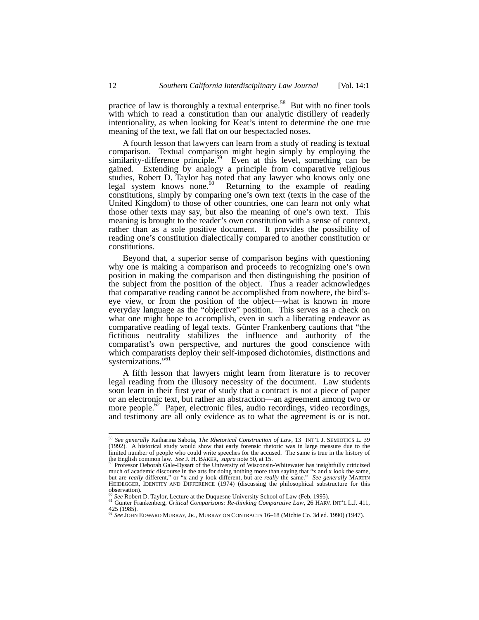practice of law is thoroughly a textual enterprise.<sup>58</sup> But with no finer tools with which to read a constitution than our analytic distillery of readerly intentionality, as when looking for Keat's intent to determine the one true meaning of the text, we fall flat on our bespectacled noses.

A fourth lesson that lawyers can learn from a study of reading is textual comparison. Textual comparison might begin simply by employing the similarity-difference principle.<sup>59</sup> Even at this level, something can be gained. Extending by analogy a principle from comparative religious studies, Robert D. Taylor has noted that any lawyer who knows only one legal system knows none.<sup>60</sup> Returning to the example of reading constitutions, simply by comparing one's own text (texts in the case of the United Kingdom) to those of other countries, one can learn not only what those other texts may say, but also the meaning of one's own text. This meaning is brought to the reader's own constitution with a sense of context, rather than as a sole positive document. It provides the possibility of reading one's constitution dialectically compared to another constitution or constitutions.

Beyond that, a superior sense of comparison begins with questioning why one is making a comparison and proceeds to recognizing one's own position in making the comparison and then distinguishing the position of the subject from the position of the object. Thus a reader acknowledges that comparative reading cannot be accomplished from nowhere, the bird'seye view, or from the position of the object—what is known in more everyday language as the "objective" position. This serves as a check on what one might hope to accomplish, even in such a liberating endeavor as comparative reading of legal texts. Günter Frankenberg cautions that "the fictitious neutrality stabilizes the influence and authority of the comparatist's own perspective, and nurtures the good conscience with which comparatists deploy their self-imposed dichotomies, distinctions and systemizations."<sup>61</sup>

A fifth lesson that lawyers might learn from literature is to recover legal reading from the illusory necessity of the document. Law students soon learn in their first year of study that a contract is not a piece of paper or an electronic text, but rather an abstraction—an agreement among two or more people.<sup>62</sup> Paper, electronic files, audio recordings, video recordings, and testimony are all only evidence as to what the agreement is or is not.

 <sup>58</sup> *See generally* Katharina Sabota, *The Rhetorical Construction of Law*, 13 INT'L J. SEMIOTICS L. 39 (1992). A historical study would show that early forensic rhetoric was in large measure due to the limited number of people who could write speeches for the accused. The same is true in the history of the English common law. See J. H. BAKER, supra note 50, at 15.

Professor Deborah Gale-Dysart of the University of Wisconsin-Whitewater has insightfully criticized much of academic discourse in the arts for doing nothing more than saying that "x and x look the same, but are *really* different," or "x and y look different, but are *really* the same." *See generally* MARTIN HEIDEGGER, IDENTITY AND DIFFERENCE (1974) (discussing the philosophical substructure for this observation).<br><sup>60</sup> See Robert D. Taylor, Lecture at the Duquesne University School of Law (Feb. 1995).

<sup>60</sup> *See* Robert D. Taylor, Lecture at the Duquesne University School of Law (Feb. 1995). 61 Günter Frankenberg, *Critical Comparisons: Re-thinking Comparative Law*, 26 HARV. INT'L L.J. 411, 425 (1985). <sup>62</sup> *See* JOHN EDWARD MURRAY, JR., MURRAY ON CONTRACTS 16–18 (Michie Co. 3d ed. 1990) (1947).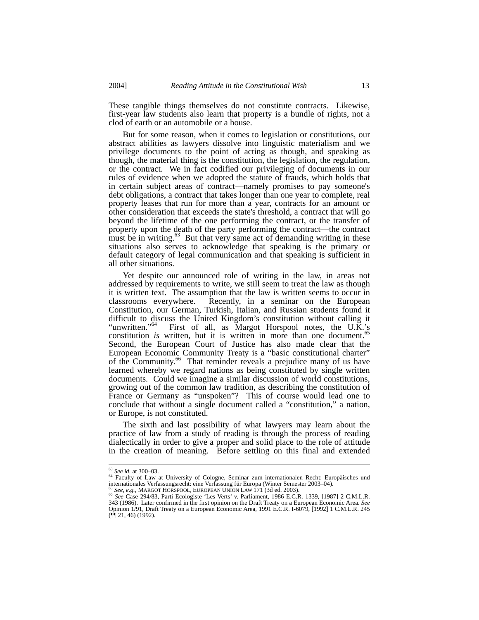These tangible things themselves do not constitute contracts. Likewise, first-year law students also learn that property is a bundle of rights, not a clod of earth or an automobile or a house.

But for some reason, when it comes to legislation or constitutions, our abstract abilities as lawyers dissolve into linguistic materialism and we privilege documents to the point of acting as though, and speaking as though, the material thing is the constitution, the legislation, the regulation, or the contract. We in fact codified our privileging of documents in our rules of evidence when we adopted the statute of frauds, which holds that in certain subject areas of contract—namely promises to pay someone's debt obligations, a contract that takes longer than one year to complete, real property leases that run for more than a year, contracts for an amount or other consideration that exceeds the state's threshold, a contract that will go beyond the lifetime of the one performing the contract, or the transfer of property upon the death of the party performing the contract—the contract must be in writing. $63$  But that very same act of demanding writing in these situations also serves to acknowledge that speaking is the primary or default category of legal communication and that speaking is sufficient in all other situations.

Yet despite our announced role of writing in the law, in areas not addressed by requirements to write, we still seem to treat the law as though it is written text. The assumption that the law is written seems to occur in classrooms everywhere. Recently, in a seminar on the European Constitution, our German, Turkish, Italian, and Russian students found it difficult to discuss the United Kingdom's constitution without calling it "unwritten."<sup>64</sup> First of all, as Margot Horspool notes, the U.K.'s First of all, as Margot Horspool notes, the U.K.'s constitution *is* written, but it is written in more than one document.<sup>65</sup> Second, the European Court of Justice has also made clear that the European Economic Community Treaty is a "basic constitutional charter" of the Community.<sup>66</sup> That reminder reveals a prejudice many of us have learned whereby we regard nations as being constituted by single written documents. Could we imagine a similar discussion of world constitutions, growing out of the common law tradition, as describing the constitution of France or Germany as "unspoken"? This of course would lead one to conclude that without a single document called a "constitution," a nation, or Europe, is not constituted.

The sixth and last possibility of what lawyers may learn about the practice of law from a study of reading is through the process of reading dialectically in order to give a proper and solid place to the role of attitude in the creation of meaning. Before settling on this final and extended

<sup>&</sup>lt;sup>63</sup> See id. at 300–03.<br><sup>64</sup> Faculty of Law at University of Cologne, Seminar zum internationalen Recht: Europäisches und<br>internationales Verfassungsmecht: eine Verfassung für Europa (Winter Semester 2003–04).<br><sup>65</sup> See of

<sup>&</sup>lt;sup>65</sup> See, e.g., MARGOT HORSPOOL, EUROPEAN UNION LAW 171 (3d ed. 2003).<br><sup>65</sup> See, e.g., MARGOT HORSPOOL, EUROPEAN UNION LAW 171 (3d ed. 2003).<br><sup>66</sup> See Case 294/83, Parti Ecologiste 'Les Verts' v. Parliament, 1986 E.C.R. 1 343 (1986). Later confirmed in the first opinion on the Draft Treaty on a European Economic Area. *See*  Opinion 1/91, Draft Treaty on a European Economic Area, 1991 E.C.R. I-6079, [1992] 1 C.M.L.R. 245  $(\hat{M}$  21, 46) (1992).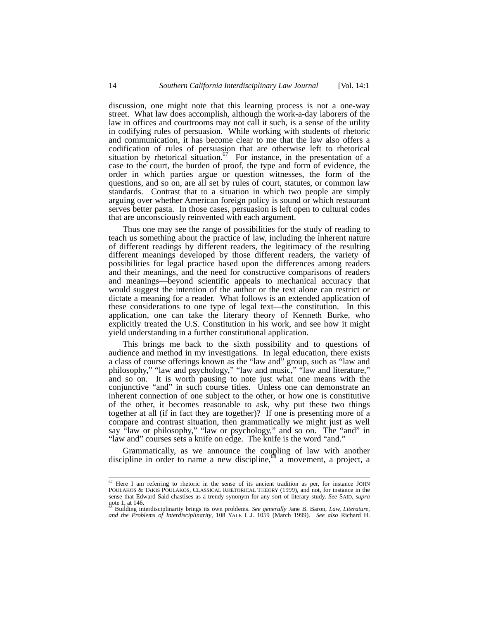discussion, one might note that this learning process is not a one-way street. What law does accomplish, although the work-a-day laborers of the law in offices and courtrooms may not call it such, is a sense of the utility in codifying rules of persuasion. While working with students of rhetoric and communication, it has become clear to me that the law also offers a codification of rules of persuasion that are otherwise left to rhetorical situation by rhetorical situation.<sup>67</sup> For instance, in the presentation of a case to the court, the burden of proof, the type and form of evidence, the order in which parties argue or question witnesses, the form of the questions, and so on, are all set by rules of court, statutes, or common law standards. Contrast that to a situation in which two people are simply arguing over whether American foreign policy is sound or which restaurant serves better pasta. In those cases, persuasion is left open to cultural codes that are unconsciously reinvented with each argument.

Thus one may see the range of possibilities for the study of reading to teach us something about the practice of law, including the inherent nature of different readings by different readers, the legitimacy of the resulting different meanings developed by those different readers, the variety of possibilities for legal practice based upon the differences among readers and their meanings, and the need for constructive comparisons of readers and meanings—beyond scientific appeals to mechanical accuracy that would suggest the intention of the author or the text alone can restrict or dictate a meaning for a reader. What follows is an extended application of these considerations to one type of legal text—the constitution. In this application, one can take the literary theory of Kenneth Burke, who explicitly treated the U.S. Constitution in his work, and see how it might yield understanding in a further constitutional application.

This brings me back to the sixth possibility and to questions of audience and method in my investigations. In legal education, there exists a class of course offerings known as the "law and" group, such as "law and philosophy," "law and psychology," "law and music," "law and literature," and so on. It is worth pausing to note just what one means with the conjunctive "and" in such course titles. Unless one can demonstrate an inherent connection of one subject to the other, or how one is constitutive of the other, it becomes reasonable to ask, why put these two things together at all (if in fact they are together)? If one is presenting more of a compare and contrast situation, then grammatically we might just as well say "law or philosophy," "law or psychology," and so on. The "and" in "law and" courses sets a knife on edge. The knife is the word "and."

Grammatically, as we announce the coupling of law with another discipline in order to name a new discipline, $\delta^8$  a movement, a project, a

et<br>Poulakos & Takis Poulakos, Classical Rhetorical Theory (1999), and not, for instance John<br>Poulakos & Takis Poulakos, Classical Rhetorical Theory (1999), and not, for instance in the sense that Edward Said chastises as a trendy synonym for any sort of literary study. *See* SAID, *supra* note 1, at 146. 68 Building interdisciplinarity brings its own problems. *See generally* Jane B. Baron, *Law, Literature,* 

*and the Problems of Interdisciplinarity*, 108 YALE L.J. 1059 (March 1999). *See also* Richard H.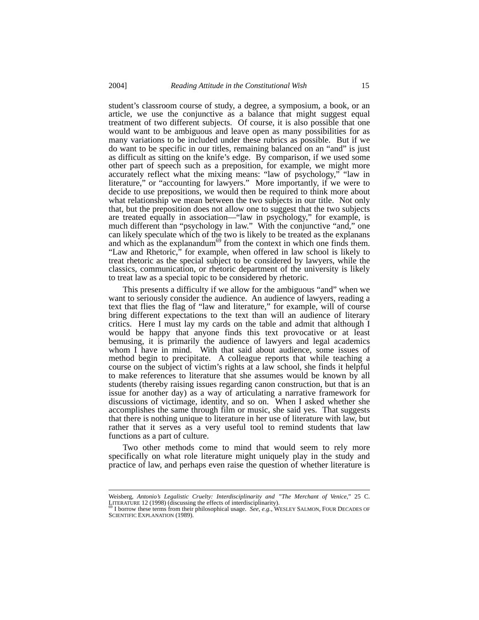student's classroom course of study, a degree, a symposium, a book, or an article, we use the conjunctive as a balance that might suggest equal treatment of two different subjects. Of course, it is also possible that one would want to be ambiguous and leave open as many possibilities for as many variations to be included under these rubrics as possible. But if we do want to be specific in our titles, remaining balanced on an "and" is just as difficult as sitting on the knife's edge. By comparison, if we used some other part of speech such as a preposition, for example, we might more accurately reflect what the mixing means: "law of psychology," "law in literature," or "accounting for lawyers." More importantly, if we were to decide to use prepositions, we would then be required to think more about what relationship we mean between the two subjects in our title. Not only that, but the preposition does not allow one to suggest that the two subjects are treated equally in association—"law in psychology," for example, is much different than "psychology in law." With the conjunctive "and," one can likely speculate which of the two is likely to be treated as the explanans and which as the explanandum<sup>69</sup> from the context in which one finds them. "Law and Rhetoric," for example, when offered in law school is likely to treat rhetoric as the special subject to be considered by lawyers, while the classics, communication, or rhetoric department of the university is likely to treat law as a special topic to be considered by rhetoric.

This presents a difficulty if we allow for the ambiguous "and" when we want to seriously consider the audience. An audience of lawyers, reading a text that flies the flag of "law and literature," for example, will of course bring different expectations to the text than will an audience of literary critics. Here I must lay my cards on the table and admit that although I would be happy that anyone finds this text provocative or at least bemusing, it is primarily the audience of lawyers and legal academics whom I have in mind. With that said about audience, some issues of method begin to precipitate. A colleague reports that while teaching a course on the subject of victim's rights at a law school, she finds it helpful to make references to literature that she assumes would be known by all students (thereby raising issues regarding canon construction, but that is an issue for another day) as a way of articulating a narrative framework for discussions of victimage, identity, and so on. When I asked whether she accomplishes the same through film or music, she said yes. That suggests that there is nothing unique to literature in her use of literature with law, but rather that it serves as a very useful tool to remind students that law functions as a part of culture.

Two other methods come to mind that would seem to rely more specifically on what role literature might uniquely play in the study and practice of law, and perhaps even raise the question of whether literature is

Weisberg, *Antonio's Legalistic Cruelty: Interdisciplinarity and "The Merchant of Venice*," 25 C. LITERATURE 12 (1998) (discussing the effects of interdisciplinarity).<br><sup>69</sup> I borrow these terms from their philosophical usage. *See*, *e.g.*, WESLEY SALMON, FOUR DECADES OF

SCIENTIFIC EXPLANATION (1989).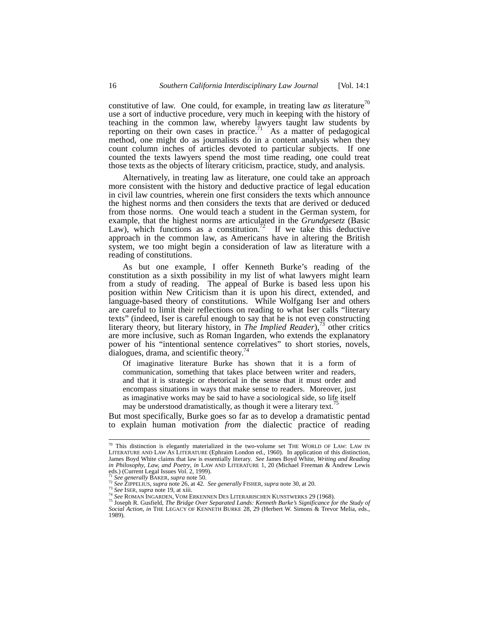constitutive of law. One could, for example, in treating law  $as$  literature<sup> $/0$ </sup> use a sort of inductive procedure, very much in keeping with the history of teaching in the common law, whereby lawyers taught law students by reporting on their own cases in practice.<sup>71</sup> As a matter of pedagogical method, one might do as journalists do in a content analysis when they count column inches of articles devoted to particular subjects. If one counted the texts lawyers spend the most time reading, one could treat those texts as the objects of literary criticism, practice, study, and analysis.

Alternatively, in treating law as literature, one could take an approach more consistent with the history and deductive practice of legal education in civil law countries, wherein one first considers the texts which announce the highest norms and then considers the texts that are derived or deduced from those norms. One would teach a student in the German system, for example, that the highest norms are articulated in the *Grundgesetz* (Basic Law), which functions as a constitution.<sup> $72$ </sup> If we take this deductive approach in the common law, as Americans have in altering the British system, we too might begin a consideration of law as literature with a reading of constitutions.

As but one example, I offer Kenneth Burke's reading of the constitution as a sixth possibility in my list of what lawyers might learn from a study of reading. The appeal of Burke is based less upon his position within New Criticism than it is upon his direct, extended, and language-based theory of constitutions. While Wolfgang Iser and others are careful to limit their reflections on reading to what Iser calls "literary texts" (indeed, Iser is careful enough to say that he is not even constructing literary theory, but literary history, in *The Implied Reader*),<sup>73</sup> other critics are more inclusive, such as Roman Ingarden, who extends the explanatory power of his "intentional sentence correlatives" to short stories, novels, dialogues, drama, and scientific theory. $\frac{7}{4}$ 

Of imaginative literature Burke has shown that it is a form of communication, something that takes place between writer and readers, and that it is strategic or rhetorical in the sense that it must order and encompass situations in ways that make sense to readers. Moreover, just as imaginative works may be said to have a sociological side, so life itself may be understood dramatistically, as though it were a literary text.

But most specifically, Burke goes so far as to develop a dramatistic pentad to explain human motivation *from* the dialectic practice of reading

 $70$  This distinction is elegantly materialized in the two-volume set THE WORLD OF LAW: LAW IN LITERATURE AND LAW AS LITERATURE (Ephraim London ed., 1960). In application of this distinction, James Boyd White claims that law is essentially literary. *See* James Boyd White, *Writing and Reading* in *Philosophy, Law, and Poetry, in* LAW AND LITERATURE 1, 20 (Michael Freeman & Andrew Lewis eds.) (Current Legal Iss

<sup>&</sup>lt;sup>71</sup> See generally BAKER, supra note 50.<br><sup>72</sup> See generally BAKER, supra note 26, at 42. See generally FISHER, supra note 30, at 20.<br><sup>73</sup> See ZIPPELIUS, supra note 26, at 42. See generally FISHER, supra note 30, at 20.<br><sup>7</sup>

*Social Action, in THE LEGACY OF KENNETH BURKE 28, 29 (Herbert W. Simons & Trevor Melia, eds., Social Action, in THE LEGACY OF KENNETH BURKE 28, 29 (Herbert W. Simons & Trevor Melia, eds.,* 1989).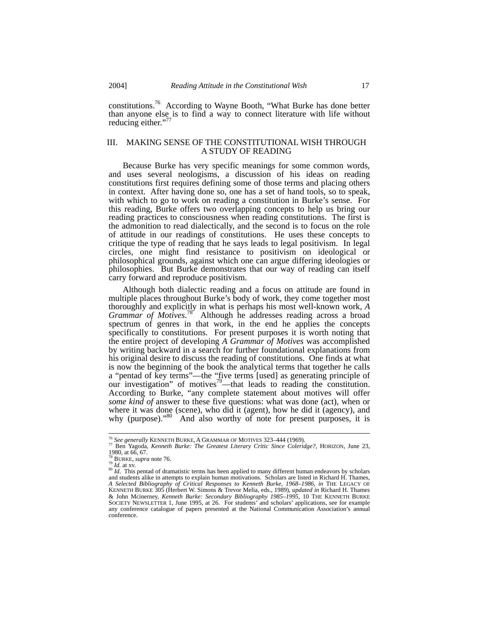constitutions.76 According to Wayne Booth, "What Burke has done better than anyone else is to find a way to connect literature with life without reducing either." $\frac{7}{7}$ 

## III. MAKING SENSE OF THE CONSTITUTIONAL WISH THROUGH A STUDY OF READING

Because Burke has very specific meanings for some common words, and uses several neologisms, a discussion of his ideas on reading constitutions first requires defining some of those terms and placing others in context. After having done so, one has a set of hand tools, so to speak, with which to go to work on reading a constitution in Burke's sense. For this reading, Burke offers two overlapping concepts to help us bring our reading practices to consciousness when reading constitutions. The first is the admonition to read dialectically, and the second is to focus on the role of attitude in our readings of constitutions. He uses these concepts to critique the type of reading that he says leads to legal positivism. In legal circles, one might find resistance to positivism on ideological or philosophical grounds, against which one can argue differing ideologies or philosophies. But Burke demonstrates that our way of reading can itself carry forward and reproduce positivism.

Although both dialectic reading and a focus on attitude are found in multiple places throughout Burke's body of work, they come together most thoroughly and explicitly in what is perhaps his most well-known work, *A*  Grammar of Motives.<sup>78</sup> Although he addresses reading across a broad spectrum of genres in that work, in the end he applies the concepts specifically to constitutions. For present purposes it is worth noting that the entire project of developing *A Grammar of Motives* was accomplished by writing backward in a search for further foundational explanations from his original desire to discuss the reading of constitutions. One finds at what is now the beginning of the book the analytical terms that together he calls a "pentad of key terms"—the "five terms [used] as generating principle of our investigation" of motives<sup>79</sup>—that leads to reading the constitution. According to Burke, "any complete statement about motives will offer *some kind of* answer to these five questions: what was done (act), when or where it was done (scene), who did it (agent), how he did it (agency), and why (purpose)."<sup>80</sup> And also worthy of note for present purposes, it is

<sup>76</sup> *See generally* KENNETH BURKE, <sup>A</sup> GRAMMAR OF MOTIVES 323–444 (1969). 77 Ben Yagoda, *Kenneth Burke: The Greatest Literary Critic Since Coleridge?*, HORIZON, June 23, 1980, at 66, 67.<br><sup>78</sup> BURKE, *supra* note 76.

<sup>&</sup>lt;sup>79</sup> Id. at xv.<br><sup>80</sup> *Id.* at xv.<br><sup>80</sup> *Id.* This pentad of dramatistic terms has been applied to many different human endeavors by scholars and students alike in attempts to explain human motivations. Scholars are listed in Richard H. Thames, *A Selected Bibliography of Critical Responses to Kenneth Burke, 1968–1986, in* THE LEGACY OF KENNETH BURKE 305 (Herbert W. Simons & Trevor Melia, eds., 1989), *updated in* Richard H. Thames & John Mcinerney, *Kenneth Burke: Secondary Bibliography 1985–1995,* 10 THE KENNETH BURKE SOCIETY NEWSLETTER 1, June 1995, at 26. For students' and scholars' applications, see for example any conference catalogue of papers presented at the National Communication Association's annual conference.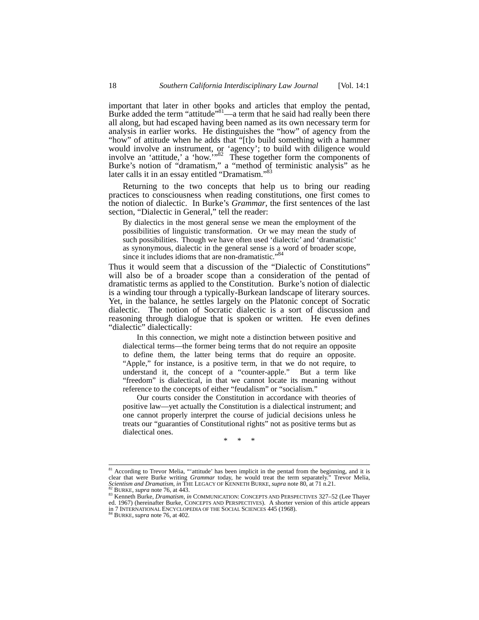important that later in other books and articles that employ the pentad, Burke added the term "attitude"<sup>81</sup>—a term that he said had really been there all along, but had escaped having been named as its own necessary term for analysis in earlier works. He distinguishes the "how" of agency from the "how" of attitude when he adds that "[t]o build something with a hammer would involve an instrument, or 'agency'; to build with diligence would involve an 'attitude,' a 'how.'"82 These together form the components of Burke's notion of "dramatism," a "method of terministic analysis" as he later calls it in an essay entitled "Dramatism."<sup>83</sup>

Returning to the two concepts that help us to bring our reading practices to consciousness when reading constitutions, one first comes to the notion of dialectic. In Burke's *Grammar*, the first sentences of the last section, "Dialectic in General," tell the reader:

By dialectics in the most general sense we mean the employment of the possibilities of linguistic transformation. Or we may mean the study of such possibilities. Though we have often used 'dialectic' and 'dramatistic' as synonymous, dialectic in the general sense is a word of broader scope, since it includes idioms that are non-dramatistic."<sup>84</sup>

Thus it would seem that a discussion of the "Dialectic of Constitutions" will also be of a broader scope than a consideration of the pentad of dramatistic terms as applied to the Constitution. Burke's notion of dialectic is a winding tour through a typically-Burkean landscape of literary sources. Yet, in the balance, he settles largely on the Platonic concept of Socratic dialectic. The notion of Socratic dialectic is a sort of discussion and reasoning through dialogue that is spoken or written. He even defines "dialectic" dialectically:

 In this connection, we might note a distinction between positive and dialectical terms—the former being terms that do not require an opposite to define them, the latter being terms that do require an opposite. "Apple," for instance, is a positive term, in that we do not require, to understand it, the concept of a "counter-apple." But a term like "freedom" is dialectical, in that we cannot locate its meaning without reference to the concepts of either "feudalism" or "socialism."

 Our courts consider the Constitution in accordance with theories of positive law—yet actually the Constitution is a dialectical instrument; and one cannot properly interpret the course of judicial decisions unless he treats our "guaranties of Constitutional rights" not as positive terms but as dialectical ones.

\* \* \*

<sup>&</sup>lt;sup>81</sup> According to Trevor Melia, "'attitude' has been implicit in the pentad from the beginning, and it is clear that were Burke writing *Grammar* today, he would treat the term separately." Trevor Melia, Scientism and Dramatism, in THE LEGACY OF KENNETH BURKE, supra note 80, at 71 n.21.<br>
<sup>82</sup> BURKE, supra note 76, at 443.<br>
<sup>82</sup> BURKE, supra note 76, at 443.<br>
<sup>83</sup> Kenneth Burke, *Dramatism*, in COMMUNICATION: CONCEPTS AND P

ed. 1967) (hereinafter Burke, CONCEPTS AND PERSPECTIVES). A shorter version of this article appears in 7 INTERNATIONAL ENCYCLOPEDIA OF THE SOCIAL SCIENCES 445 (1968).<br><sup>84</sup> BURKE, *supra* note 76, at 402.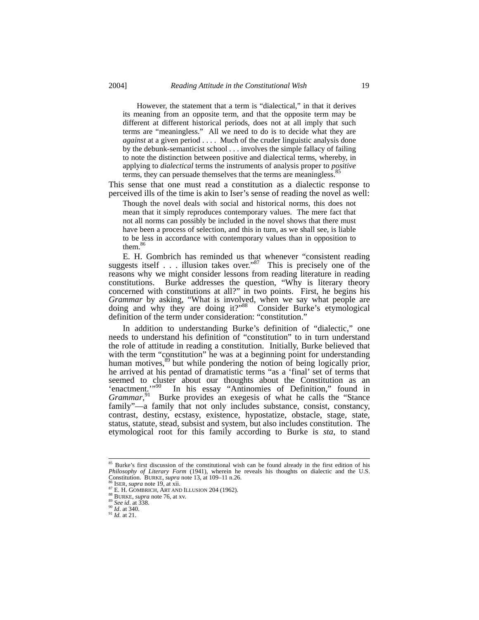However, the statement that a term is "dialectical," in that it derives its meaning from an opposite term, and that the opposite term may be different at different historical periods, does not at all imply that such terms are "meaningless." All we need to do is to decide what they are *against* at a given period . . . . Much of the cruder linguistic analysis done by the debunk-semanticist school . . . involves the simple fallacy of failing to note the distinction between positive and dialectical terms, whereby, in applying to *dialectical* terms the instruments of analysis proper to *positive* terms, they can persuade themselves that the terms are meaningless.<sup>8</sup>

This sense that one must read a constitution as a dialectic response to perceived ills of the time is akin to Iser's sense of reading the novel as well:

Though the novel deals with social and historical norms, this does not mean that it simply reproduces contemporary values. The mere fact that not all norms can possibly be included in the novel shows that there must have been a process of selection, and this in turn, as we shall see, is liable to be less in accordance with contemporary values than in opposition to them.<sup>86</sup>

E. H. Gombrich has reminded us that whenever "consistent reading suggests itself . . . illusion takes over."<sup>87</sup> This is precisely one of the reasons why we might consider lessons from reading literature in reading constitutions. Burke addresses the question, "Why is literary theory concerned with constitutions at all?" in two points. First, he begins his *Grammar* by asking, "What is involved, when we say what people are doing and why they are doing it?"88 Consider Burke's etymological definition of the term under consideration: "constitution."

In addition to understanding Burke's definition of "dialectic," one needs to understand his definition of "constitution" to in turn understand the role of attitude in reading a constitution. Initially, Burke believed that with the term "constitution" he was at a beginning point for understanding human motives,<sup>89</sup> but while pondering the notion of being logically prior, he arrived at his pentad of dramatistic terms "as a 'final' set of terms that seemed to cluster about our thoughts about the Constitution as an 'enactment.'<sup>,90</sup> In his essay "Antinomies of Definition," found in 'enactment.'"<sup>90</sup> In his essay "Antinomies of Definition," found in Grammar,<sup>91</sup> Burke provides an exegesis of what he calls the "Stance" family"—a family that not only includes substance, consist, constancy, contrast, destiny, ecstasy, existence, hypostatize, obstacle, stage, state, status, statute, stead, subsist and system, but also includes constitution. The etymological root for this family according to Burke is *sta*, to stand

<sup>&</sup>lt;sup>85</sup> Burke's first discussion of the constitutional wish can be found already in the first edition of his *Philosophy of Literary Form* (1941), wherein he reveals his thoughts on dialectic and the U.S. Constitution. BURKE, *supra* note 13, at 109–11 n.26.

<sup>&</sup>lt;sup>86</sup> ISER, *supra* note 19, at xii.<br>
<sup>87</sup> E. H. GOMBRICH, ART AND ILLUSION 204 (1962).<br>
<sup>88</sup> BURKE, *supra* note 76, at xv.<br>
<sup>99</sup> *See id.* at 338.<br>
<sup>91</sup> Id. at 340.<br>
<sup>91</sup> Id. at 21.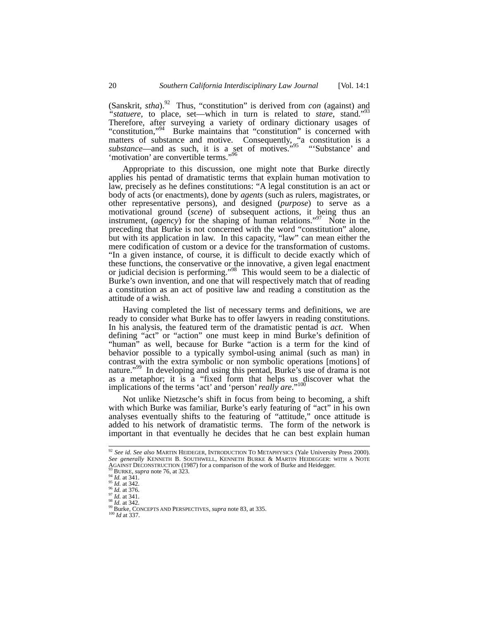(Sanskrit, *stha*).92 Thus, "constitution" is derived from *con* (against) and *"statuere,* to place, set—which in turn is related to *stare*, stand."93 Therefore, after surveying a variety of ordinary dictionary usages of "constitution,"<sup>94</sup> Burke maintains that "constitution" is concerned with matters of substance and motive. Consequently, "a constitution is a substance—and as such, it is a set of motives.<sup>"95</sup> "'Substance' and 'motivation' are convertible terms."<sup>96</sup>

Appropriate to this discussion, one might note that Burke directly applies his pentad of dramatistic terms that explain human motivation to law, precisely as he defines constitutions: "A legal constitution is an act or body of acts (or enactments), done by *agents* (such as rulers, magistrates, or other representative persons), and designed (*purpose*) to serve as a motivational ground (*scene*) of subsequent actions, it being thus an instrument, (*agency*) for the shaping of human relations."97 Note in the preceding that Burke is not concerned with the word "constitution" alone, but with its application in law. In this capacity, "law" can mean either the mere codification of custom or a device for the transformation of customs. "In a given instance, of course, it is difficult to decide exactly which of these functions, the conservative or the innovative, a given legal enactment or judicial decision is performing."98 This would seem to be a dialectic of Burke's own invention, and one that will respectively match that of reading a constitution as an act of positive law and reading a constitution as the attitude of a wish.

Having completed the list of necessary terms and definitions, we are ready to consider what Burke has to offer lawyers in reading constitutions. In his analysis, the featured term of the dramatistic pentad is *act*. When defining "act" or "action" one must keep in mind Burke's definition of "human" as well, because for Burke "action is a term for the kind of behavior possible to a typically symbol-using animal (such as man) in contrast with the extra symbolic or non symbolic operations [motions] of nature."<sup>99</sup> In developing and using this pentad, Burke's use of drama is not as a metaphor; it is a "fixed form that helps us discover what the implications of the terms 'act' and 'person' *really are*."100

Not unlike Nietzsche's shift in focus from being to becoming, a shift with which Burke was familiar, Burke's early featuring of "act" in his own analyses eventually shifts to the featuring of "attitude," once attitude is added to his network of dramatistic terms. The form of the network is important in that eventually he decides that he can best explain human

 <sup>92</sup> *See id*. *See also* MARTIN HEIDEGER, INTRODUCTION TO METAPHYSICS (Yale University Press 2000). *See generally* KENNETH B. SOUTHWELL, KENNETH BURKE & MARTIN HEIDEGGER: WITH A NOTE AGAINST DECONSTRUCTION (1987) for a comparison of the work of Burke and Heidegger.<br><sup>93</sup> BURKE, *supra* note 76, at 323.<br><sup>94</sup> Id. at 341.<br><sup>95</sup> Id. at 342.<br><sup>97</sup> Id. at 342.<br><sup>97</sup> Id. at 342.<br><sup>97</sup> Id. at 342.<br><sup>97</sup> Id. at 342.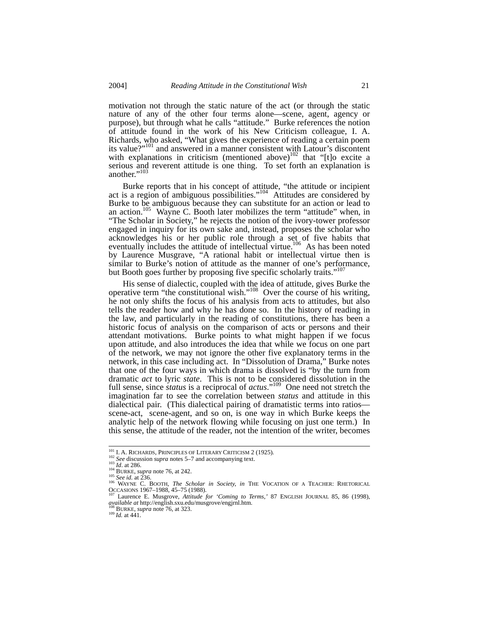motivation not through the static nature of the act (or through the static nature of any of the other four terms alone—scene, agent, agency or purpose), but through what he calls "attitude." Burke references the notion of attitude found in the work of his New Criticism colleague, I. A. Richards, who asked, "What gives the experience of reading a certain poem its value?"<sup>101</sup> and answered in a manner consistent with Latour's discontent with explanations in criticism (mentioned above) $\frac{102}{102}$  that "[t]o excite a serious and reverent attitude is one thing. To set forth an explanation is another."<sup>103</sup>

Burke reports that in his concept of attitude, "the attitude or incipient act is a region of ambiguous possibilities."<sup>104</sup> Attitudes are considered by Burke to be ambiguous because they can substitute for an action or lead to an action.<sup>105</sup> Wayne C. Booth later mobilizes the term "attitude" when, in "The Scholar in Society," he rejects the notion of the ivory-tower professor engaged in inquiry for its own sake and, instead, proposes the scholar who acknowledges his or her public role through a set of five habits that eventually includes the attitude of intellectual virtue.<sup>106</sup> As has been noted by Laurence Musgrave, "A rational habit or intellectual virtue then is similar to Burke's notion of attitude as the manner of one's performance, but Booth goes further by proposing five specific scholarly traits."<sup>107</sup>

His sense of dialectic, coupled with the idea of attitude, gives Burke the operative term "the constitutional wish."108 Over the course of his writing, he not only shifts the focus of his analysis from acts to attitudes, but also tells the reader how and why he has done so. In the history of reading in the law, and particularly in the reading of constitutions, there has been a historic focus of analysis on the comparison of acts or persons and their attendant motivations. Burke points to what might happen if we focus upon attitude, and also introduces the idea that while we focus on one part of the network, we may not ignore the other five explanatory terms in the network, in this case including act. In "Dissolution of Drama," Burke notes that one of the four ways in which drama is dissolved is "by the turn from dramatic *act* to lyric *state*. This is not to be considered dissolution in the full sense, since *status* is a reciprocal of *actus*."109 One need not stretch the imagination far to see the correlation between *status* and attitude in this dialectical pair. (This dialectical pairing of dramatistic terms into ratios scene-act, scene-agent, and so on, is one way in which Burke keeps the analytic help of the network flowing while focusing on just one term.) In this sense, the attitude of the reader, not the intention of the writer, becomes

<sup>&</sup>lt;sup>101</sup> I. A. RICHARDS, PRINCIPLES OF LITERARY CRITICISM 2 (1925).<br><sup>102</sup> *See* discussion *supra* notes 5–7 and accompanying text.<br><sup>103</sup> BURKE, *supra* note 76, at 242.<br><sup>105</sup> *See id.* at 236.<br><sup>105</sup> *See id.* at 236.<br><sup>106</sup> OCCASIONS 1967–1988, 45–75 (1988).<br><sup>107</sup> Laurence E. Musgrove, *Attitude for 'Coming to Terms*,' 87 ENGLISH JOURNAL 85, 86 (1998),

*available at* http://english.sxu.edu/musgrove/engjrnl.htm. 108 BURKE, *supra* note 76, at 323. 109 *Id.* at 441.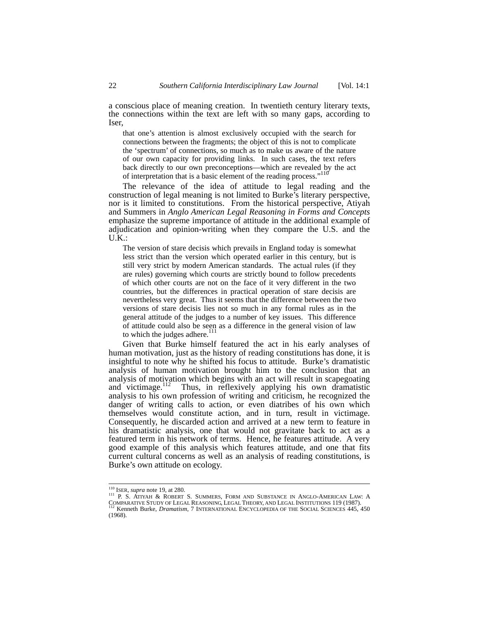a conscious place of meaning creation. In twentieth century literary texts, the connections within the text are left with so many gaps, according to Iser,

that one's attention is almost exclusively occupied with the search for connections between the fragments; the object of this is not to complicate the 'spectrum' of connections, so much as to make us aware of the nature of our own capacity for providing links. In such cases, the text refers back directly to our own preconceptions—which are revealed by the act of interpretation that is a basic element of the reading process."<sup>110</sup>

The relevance of the idea of attitude to legal reading and the construction of legal meaning is not limited to Burke's literary perspective, nor is it limited to constitutions. From the historical perspective, Atiyah and Summers in *Anglo American Legal Reasoning in Forms and Concepts* emphasize the supreme importance of attitude in the additional example of adjudication and opinion-writing when they compare the U.S. and the  $U.K.:$ 

The version of stare decisis which prevails in England today is somewhat less strict than the version which operated earlier in this century, but is still very strict by modern American standards. The actual rules (if they are rules) governing which courts are strictly bound to follow precedents of which other courts are not on the face of it very different in the two countries, but the differences in practical operation of stare decisis are nevertheless very great. Thus it seems that the difference between the two versions of stare decisis lies not so much in any formal rules as in the general attitude of the judges to a number of key issues. This difference of attitude could also be seen as a difference in the general vision of law to which the judges adhere.<sup>111</sup>

Given that Burke himself featured the act in his early analyses of human motivation, just as the history of reading constitutions has done, it is insightful to note why he shifted his focus to attitude. Burke's dramatistic analysis of human motivation brought him to the conclusion that an analysis of motivation which begins with an act will result in scapegoating and victimage.<sup>112</sup> Thus, in reflexively applying his own dramatistic analysis to his own profession of writing and criticism, he recognized the danger of writing calls to action, or even diatribes of his own which themselves would constitute action, and in turn, result in victimage. Consequently, he discarded action and arrived at a new term to feature in his dramatistic analysis, one that would not gravitate back to act as a featured term in his network of terms. Hence, he features attitude. A very good example of this analysis which features attitude, and one that fits current cultural concerns as well as an analysis of reading constitutions, is Burke's own attitude on ecology.

<sup>&</sup>lt;sup>110</sup> ISER, *supra* note 19, at 280.<br><sup>111</sup> P. S. ATIYAH & ROBERT S. SUMMERS, FORM AND SUBSTANCE IN ANGLO-AMERICAN LAW: A COMPARATIVE STUDY OF LEGAL REASONING, LEGAL THEORY, AND LEGAL INSTITUTIONS 119 (1987). 112 Kenneth Burke, *Dramatism*, 7 INTERNATIONAL ENCYCLOPEDIA OF THE SOCIAL SCIENCES 445, 450 (1968).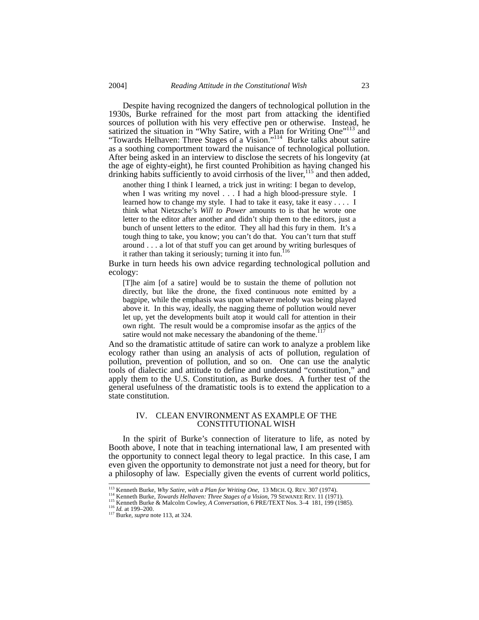Despite having recognized the dangers of technological pollution in the 1930s, Burke refrained for the most part from attacking the identified sources of pollution with his very effective pen or otherwise. Instead, he satirized the situation in "Why Satire, with a Plan for Writing One"<sup>113</sup> and "Towards Helhaven: Three Stages of a Vision."114 Burke talks about satire as a soothing comportment toward the nuisance of technological pollution. After being asked in an interview to disclose the secrets of his longevity (at the age of eighty-eight), he first counted Prohibition as having changed his drinking habits sufficiently to avoid cirrhosis of the liver,<sup>115</sup> and then added,

another thing I think I learned, a trick just in writing: I began to develop, when I was writing my novel . . . I had a high blood-pressure style. I learned how to change my style. I had to take it easy, take it easy . . . . I think what Nietzsche's *Will to Power* amounts to is that he wrote one letter to the editor after another and didn't ship them to the editors, just a bunch of unsent letters to the editor. They all had this fury in them. It's a tough thing to take, you know; you can't do that. You can't turn that stuff around . . . a lot of that stuff you can get around by writing burlesques of it rather than taking it seriously; turning it into fun.<sup>116</sup>

Burke in turn heeds his own advice regarding technological pollution and ecology:

[T]he aim [of a satire] would be to sustain the theme of pollution not directly, but like the drone, the fixed continuous note emitted by a bagpipe, while the emphasis was upon whatever melody was being played above it. In this way, ideally, the nagging theme of pollution would never let up, yet the developments built atop it would call for attention in their own right. The result would be a compromise insofar as the antics of the satire would not make necessary the abandoning of the theme. $117$ 

And so the dramatistic attitude of satire can work to analyze a problem like ecology rather than using an analysis of acts of pollution, regulation of pollution, prevention of pollution, and so on. One can use the analytic tools of dialectic and attitude to define and understand "constitution," and apply them to the U.S. Constitution, as Burke does. A further test of the general usefulness of the dramatistic tools is to extend the application to a state constitution.

### IV. CLEAN ENVIRONMENT AS EXAMPLE OF THE CONSTITUTIONAL WISH

In the spirit of Burke's connection of literature to life, as noted by Booth above, I note that in teaching international law, I am presented with the opportunity to connect legal theory to legal practice. In this case, I am even given the opportunity to demonstrate not just a need for theory, but for a philosophy of law. Especially given the events of current world politics,

<sup>&</sup>lt;sup>113</sup> Kenneth Burke, *Why Satire, with a Plan for Writing One*, 13 MICH. Q. REV. 307 (1974).<br><sup>114</sup> Kenneth Burke, *Towards Helhaven: Three Stages of a Vision*, 79 SEWANEE REV. 11 (1971).<br><sup>115</sup> Kenneth Burke & Malcolm Cowl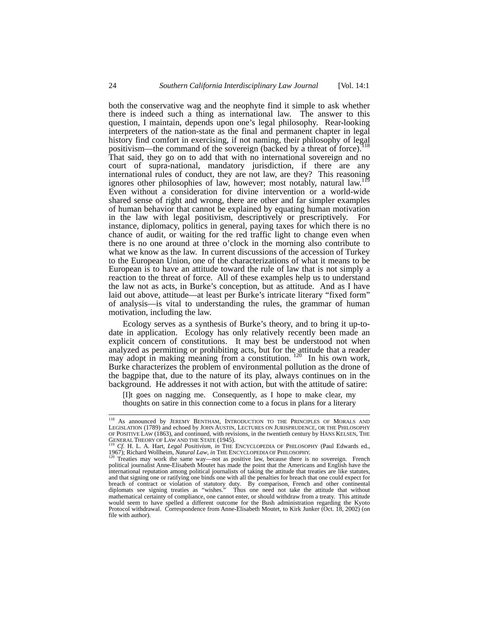both the conservative wag and the neophyte find it simple to ask whether there is indeed such a thing as international law. The answer to this question, I maintain, depends upon one's legal philosophy. Rear-looking interpreters of the nation-state as the final and permanent chapter in legal history find comfort in exercising, if not naming, their philosophy of legal positivism—the command of the sovereign (backed by a threat of force).<sup>118</sup> That said, they go on to add that with no international sovereign and no court of supra-national, mandatory jurisdiction, if there are any international rules of conduct, they are not law, are they? This reasoning ignores other philosophies of law, however; most notably, natural law.<sup>1</sup> Even without a consideration for divine intervention or a world-wide shared sense of right and wrong, there are other and far simpler examples of human behavior that cannot be explained by equating human motivation in the law with legal positivism, descriptively or prescriptively. For instance, diplomacy, politics in general, paying taxes for which there is no chance of audit, or waiting for the red traffic light to change even when there is no one around at three o'clock in the morning also contribute to what we know as the law. In current discussions of the accession of Turkey to the European Union, one of the characterizations of what it means to be European is to have an attitude toward the rule of law that is not simply a reaction to the threat of force. All of these examples help us to understand the law not as acts, in Burke's conception, but as attitude. And as I have laid out above, attitude—at least per Burke's intricate literary "fixed form" of analysis—is vital to understanding the rules, the grammar of human motivation, including the law.

Ecology serves as a synthesis of Burke's theory, and to bring it up-todate in application. Ecology has only relatively recently been made an explicit concern of constitutions. It may best be understood not when analyzed as permitting or prohibiting acts, but for the attitude that a reader may adopt in making meaning from a constitution.<sup>120</sup> In his own work, Burke characterizes the problem of environmental pollution as the drone of the bagpipe that, due to the nature of its play, always continues on in the background. He addresses it not with action, but with the attitude of satire:

[I]t goes on nagging me. Consequently, as I hope to make clear, my thoughts on satire in this connection come to a focus in plans for a literary

<sup>&</sup>lt;sup>118</sup> As announced by JEREMY BENTHAM, INTRODUCTION TO THE PRINCIPLES OF MORALS AND LEGISLATION (1789) and echoed by JOHN AUSTIN, LECTURES ON JURISPRUDENCE, OR THE PHILOSOPHY OF POSITIVE LAW (1863), and continued, with revisions, in the twentieth century by HANS KELSEN, THE GENERAL THEORY OF LAW AND THE STATE (1945).

Cf. H. L. A. Hart, *Legal Positivism, in* THE ENCYCLOPEDIA OF PHILOSOPHY (Paul Edwards ed., 1967); Richard Wollheim, *Natural Law*, *in* THE ENCYCLOPEDIA OF PHILOSOPHY.<br><sup>120</sup> Treaties may work the same way—not as positive law, because there is no sovereign. French

political journalist Anne-Elisabeth Moutet has made the point that the Americans and English have the international reputation among political journalists of taking the attitude that treaties are like statutes, and that signing one or ratifying one binds one with all the penalties for breach that one could expect for breach of contract or violation of statutory duty. By comparison, French and other continental diplomats see signing treaties as "wishes." Thus one need not take the attitude that without mathematical certainty of compliance, one cannot enter, or should withdraw from a treaty. This attitude would seem to have spelled a different outcome for the Bush administration regarding the Kyoto Protocol withdrawal. Correspondence from Anne-Elisabeth Moutet, to Kirk Junker (Oct. 18, 2002) (on file with author).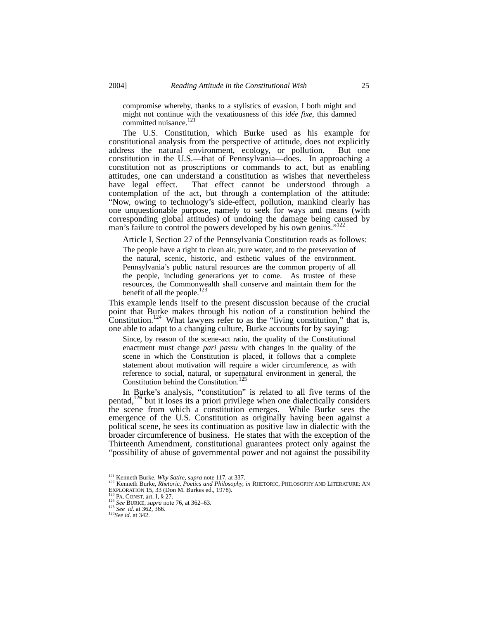compromise whereby, thanks to a stylistics of evasion, I both might and might not continue with the vexatiousness of this *idée fixe*, this damned committed nuisance.<sup>121</sup>

The U.S. Constitution, which Burke used as his example for constitutional analysis from the perspective of attitude, does not explicitly address the natural environment, ecology, or pollution. But one constitution in the U.S.—that of Pennsylvania—does. In approaching a constitution not as proscriptions or commands to act, but as enabling attitudes, one can understand a constitution as wishes that nevertheless That effect cannot be understood through a contemplation of the act, but through a contemplation of the attitude: "Now, owing to technology's side-effect, pollution, mankind clearly has one unquestionable purpose, namely to seek for ways and means (with corresponding global attitudes) of undoing the damage being caused by man's failure to control the powers developed by his own genius."<sup>122</sup>

Article I, Section 27 of the Pennsylvania Constitution reads as follows:

The people have a right to clean air, pure water, and to the preservation of the natural, scenic, historic, and esthetic values of the environment. Pennsylvania's public natural resources are the common property of all the people, including generations yet to come. As trustee of these resources, the Commonwealth shall conserve and maintain them for the benefit of all the people.<sup>123</sup>

This example lends itself to the present discussion because of the crucial point that Burke makes through his notion of a constitution behind the Constitution.<sup>124</sup> What lawyers refer to as the "living constitution," that is, one able to adapt to a changing culture, Burke accounts for by saying:

Since, by reason of the scene-act ratio, the quality of the Constitutional enactment must change *pari passu* with changes in the quality of the scene in which the Constitution is placed, it follows that a complete statement about motivation will require a wider circumference, as with reference to social, natural, or supernatural environment in general, the Constitution behind the Constitution.<sup>125</sup>

In Burke's analysis, "constitution" is related to all five terms of the pentad, $126$  but it loses its a priori privilege when one dialectically considers the scene from which a constitution emerges. While Burke sees the emergence of the U.S. Constitution as originally having been against a political scene, he sees its continuation as positive law in dialectic with the broader circumference of business. He states that with the exception of the Thirteenth Amendment, constitutional guarantees protect only against the "possibility of abuse of governmental power and not against the possibility

<sup>&</sup>lt;sup>121</sup> Kenneth Burke, *Why Satire, supra* note 117, at 337.<br><sup>122</sup> Kenneth Burke, *Rhetoric, Poetics and Philosophy, in* RHETORIC, PHILOSOPHY AND LITERATURE: AN EXPLORATION 15, 33 (Don M. Burkes ed., 1978).

Exploration 15, 15, 33 PA. CONST. art. I, § 27.<br><sup>124</sup> *See* BURKE, *supra* note 76, at 362–63.<br><sup>125</sup> *See id.* at 362, 366. <sup>126</sup> *See id.* at 342.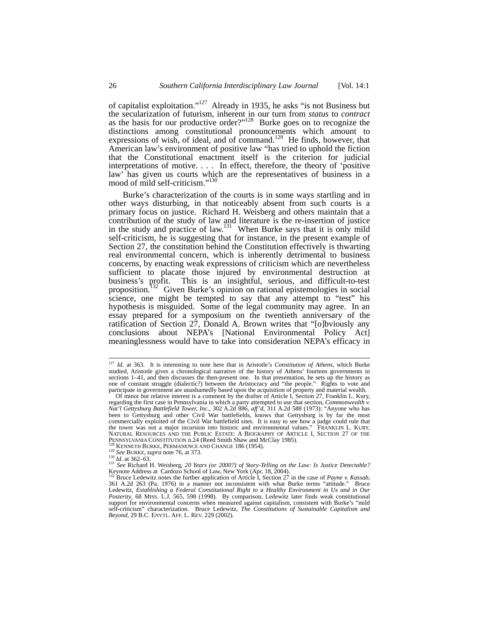of capitalist exploitation."127 Already in 1935, he asks "is not Business but the secularization of futurism, inherent in our turn from *status* to *contract* as the basis for our productive order?"<sup>128</sup> Burke goes on to recognize the distinctions among constitutional pronouncements which amount to expressions of wish, of ideal, and of command.<sup>129</sup> He finds, however, that American law's environment of positive law "has tried to uphold the fiction that the Constitutional enactment itself is the criterion for judicial interpretations of motive. . . . In effect, therefore, the theory of 'positive law' has given us courts which are the representatives of business in a mood of mild self-criticism."<sup>130</sup>

Burke's characterization of the courts is in some ways startling and in other ways disturbing, in that noticeably absent from such courts is a primary focus on justice. Richard H. Weisberg and others maintain that a contribution of the study of law and literature is the re-insertion of justice in the study and practice of law.<sup>131</sup> When Burke says that it is only mild self-criticism, he is suggesting that for instance, in the present example of Section 27, the constitution behind the Constitution effectively is thwarting real environmental concern, which is inherently detrimental to business concerns, by enacting weak expressions of criticism which are nevertheless sufficient to placate those injured by environmental destruction at business's profit. This is an insightful, serious, and difficult-to-test proposition.<sup>132</sup> Given Burke's opinion on rational epistemologies in social science, one might be tempted to say that any attempt to "test" his hypothesis is misguided. Some of the legal community may agree. In an essay prepared for a symposium on the twentieth anniversary of the ratification of Section 27, Donald A. Brown writes that "[o]bviously any conclusions about NEPA's [National Environmental Policy Act] meaninglessness would have to take into consideration NEPA's efficacy in

 <sup>127</sup> *Id*. at 363. It is interesting to note here that in Aristotle's *Constitution of Athens*, which Burke studied, Aristotle gives a chronological narrative of the history of Athens' fourteen governments in sections 1–41, and then discusses the then-present one. In that presentation, he sets up the history as one of constant struggle (dialectic?) between the Aristocracy and "the people." Rights to vote and participate in government are unashamedly based upon the acquisition of property and material wealth.

Of minor but relative interest is a comment by the drafter of Article I, Section 27, Franklin L. Kury, regarding the first case in Pennsylvania in which a party attempted to use that section, *Commonwealth v. Nat'l Gettysburg Battlefield Tower, Inc.*, 302 A.2d 886, *aff'd*, 311 A.2d 588 (1973): "Anyone who has been to Gettysburg and other Civil War battlefields, knows that Gettysburg is by far the most commercially exploited of the Civil War battlefield sites. It is easy to see how a judge could rule that the tower was not a major incursion into historic and environmental values." FRANKLIN L. KURY, NATURAL RESOURCES AND THE PUBLIC ESTATE: A BIOGRAPHY OF ARTICLE I, SECTION 27 OF THE PENNSYLVANIA CONSTITUTION n.24 (Reed Smith Shaw and McClay 1985). PENNSYLVANIA CONSTITUTION n.24 (Reed Smith Shaw and McClay 1985).<br><sup>128</sup> KENNETH BURKE, PERMANENCE AND CHANGE 186 (1954).<br><sup>129</sup> See BURKE, *supra* note 76, at 373.<br><sup>130</sup> Id. at 362–63.<br><sup>131</sup> See Richard H. Weisberg, 20 *Yea* 

Keynote Address at Cardozo School of Law, New York (Apr. 18, 2004).<br><sup>132</sup> Bruce Ledewitz notes the further application of Article I, Section 27 in the case of *Payne v. Kassab*,<br>361 A.2d 263 (Pa. 1976) in a manner not inco Ledewitz, *Establishing a Federal Constitutional Right to a Healthy Environment in Us and in Our Posterity*, 68 MISS. L.J. 565, 598 (1998). By comparison, Ledewitz later finds weak constitutional support for environmental concerns when measured against capitalism, consistent with Burke's "mild self-criticism" characterization. Bruce Ledewitz, *The Constitutions of Sustainable Capitalism and Beyond*, 29 B.C. ENVTL. AFF. L. REV. 229 (2002).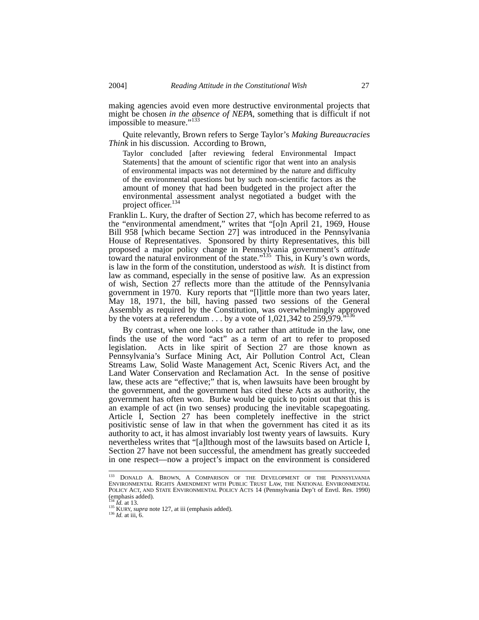making agencies avoid even more destructive environmental projects that might be chosen *in the absence of NEPA*, something that is difficult if not impossible to measure."<sup>133</sup>

Quite relevantly, Brown refers to Serge Taylor's *Making Bureaucracies Think* in his discussion. According to Brown,

Taylor concluded [after reviewing federal Environmental Impact Statements] that the amount of scientific rigor that went into an analysis of environmental impacts was not determined by the nature and difficulty of the environmental questions but by such non-scientific factors as the amount of money that had been budgeted in the project after the environmental assessment analyst negotiated a budget with the project officer.<sup>134</sup>

Franklin L. Kury, the drafter of Section 27, which has become referred to as the "environmental amendment," writes that "[o]n April 21, 1969, House Bill 958 [which became Section 27] was introduced in the Pennsylvania House of Representatives. Sponsored by thirty Representatives, this bill proposed a major policy change in Pennsylvania government's *attitude* toward the natural environment of the state."<sup>135</sup> This, in Kury's own words, is law in the form of the constitution, understood as *wish.* It is distinct from law as command, especially in the sense of positive law. As an expression of wish, Section 27 reflects more than the attitude of the Pennsylvania government in 1970. Kury reports that "[l]ittle more than two years later, May 18, 1971, the bill, having passed two sessions of the General Assembly as required by the Constitution, was overwhelmingly approved by the voters at a referendum  $\dots$  by a vote of 1,021,342 to 259,979.

By contrast, when one looks to act rather than attitude in the law, one finds the use of the word "act" as a term of art to refer to proposed legislation. Acts in like spirit of Section 27 are those known as Pennsylvania's Surface Mining Act, Air Pollution Control Act, Clean Streams Law, Solid Waste Management Act, Scenic Rivers Act, and the Land Water Conservation and Reclamation Act. In the sense of positive law, these acts are "effective;" that is, when lawsuits have been brought by the government, and the government has cited these Acts as authority, the government has often won. Burke would be quick to point out that this is an example of act (in two senses) producing the inevitable scapegoating. Article I, Section 27 has been completely ineffective in the strict positivistic sense of law in that when the government has cited it as its authority to act, it has almost invariably lost twenty years of lawsuits. Kury nevertheless writes that "[a]lthough most of the lawsuits based on Article I, Section 27 have not been successful, the amendment has greatly succeeded in one respect—now a project's impact on the environment is considered

<sup>&</sup>lt;sup>133</sup> DONALD A. BROWN, A COMPARISON OF THE DEVELOPMENT OF THE PENNSYLVANIA ENVIRONMENTAL RIGHTS AMENDMENT WITH PUBLIC TRUST LAW, THE NATIONAL ENVIRONMENTAL POLICY ACT, AND STATE ENVIRONMENTAL POLICY ACTS 14 (Pennsylvania Dep't of Envtl. Res. 1990) (emphasis added).

<sup>&</sup>lt;sup>134</sup> *Id.* at 13.<br><sup>135</sup> KURY, *supra* note 127, at iii (emphasis added).<br><sup>136</sup> *Id.* at iii, 6.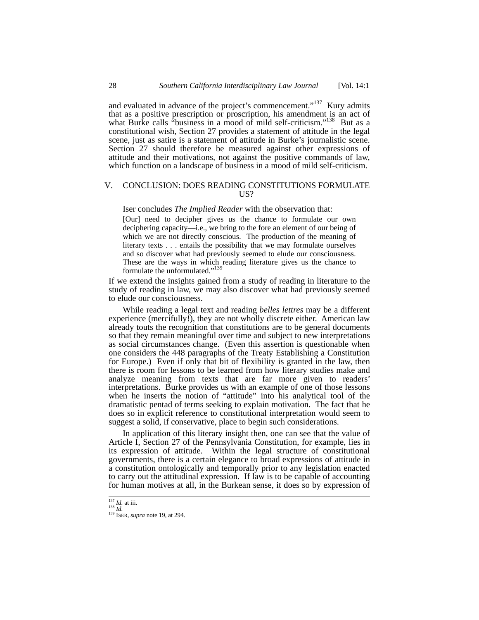and evaluated in advance of the project's commencement."<sup>137</sup> Kury admits that as a positive prescription or proscription, his amendment is an act of what Burke calls "business in a mood of mild self-criticism."<sup>138</sup> But as a constitutional wish, Section 27 provides a statement of attitude in the legal scene, just as satire is a statement of attitude in Burke's journalistic scene. Section 27 should therefore be measured against other expressions of attitude and their motivations, not against the positive commands of law, which function on a landscape of business in a mood of mild self-criticism.

## V. CONCLUSION: DOES READING CONSTITUTIONS FORMULATE US?

Iser concludes *The Implied Reader* with the observation that:

[Our] need to decipher gives us the chance to formulate our own deciphering capacity—i.e., we bring to the fore an element of our being of which we are not directly conscious. The production of the meaning of literary texts . . . entails the possibility that we may formulate ourselves and so discover what had previously seemed to elude our consciousness. These are the ways in which reading literature gives us the chance to formulate the unformulated."<sup>139</sup>

If we extend the insights gained from a study of reading in literature to the study of reading in law, we may also discover what had previously seemed to elude our consciousness.

While reading a legal text and reading *belles lettres* may be a different experience (mercifully!), they are not wholly discrete either. American law already touts the recognition that constitutions are to be general documents so that they remain meaningful over time and subject to new interpretations as social circumstances change. (Even this assertion is questionable when one considers the 448 paragraphs of the Treaty Establishing a Constitution for Europe.) Even if only that bit of flexibility is granted in the law, then there is room for lessons to be learned from how literary studies make and analyze meaning from texts that are far more given to readers' interpretations. Burke provides us with an example of one of those lessons when he inserts the notion of "attitude" into his analytical tool of the dramatistic pentad of terms seeking to explain motivation. The fact that he does so in explicit reference to constitutional interpretation would seem to suggest a solid, if conservative, place to begin such considerations.

In application of this literary insight then, one can see that the value of Article I, Section 27 of the Pennsylvania Constitution, for example, lies in its expression of attitude. Within the legal structure of constitutional governments, there is a certain elegance to broad expressions of attitude in a constitution ontologically and temporally prior to any legislation enacted to carry out the attitudinal expression. If law is to be capable of accounting for human motives at all, in the Burkean sense, it does so by expression of

<sup>137</sup> *Id.* at iii. 138 *Id.* 139 ISER, *supra* note 19, at 294.